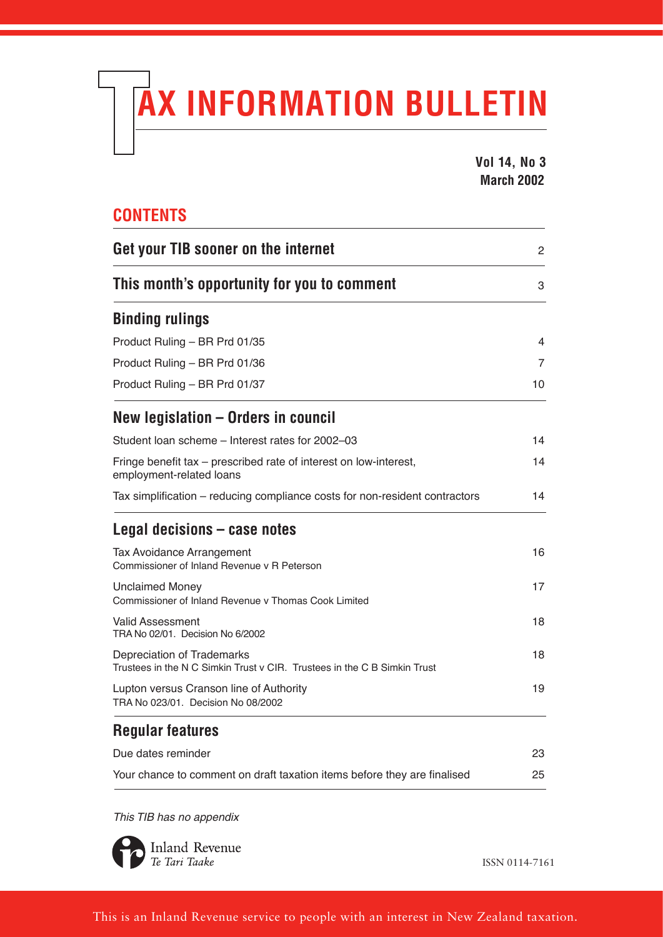# **AX INFORMATION BULLETIN**

#### **Vol 14, No 3 March 2002**

| <b>CONTENTS</b>                                                                                        |    |  |  |
|--------------------------------------------------------------------------------------------------------|----|--|--|
| Get your TIB sooner on the internet                                                                    | 2  |  |  |
| This month's opportunity for you to comment                                                            | 3  |  |  |
| <b>Binding rulings</b>                                                                                 |    |  |  |
| Product Ruling - BR Prd 01/35                                                                          | 4  |  |  |
| Product Ruling - BR Prd 01/36                                                                          | 7  |  |  |
| Product Ruling - BR Prd 01/37                                                                          | 10 |  |  |
| New legislation – Orders in council                                                                    |    |  |  |
| Student loan scheme – Interest rates for 2002–03                                                       | 14 |  |  |
| Fringe benefit tax - prescribed rate of interest on low-interest,<br>employment-related loans          | 14 |  |  |
| Tax simplification – reducing compliance costs for non-resident contractors                            | 14 |  |  |
| Legal decisions – case notes                                                                           |    |  |  |
| <b>Tax Avoidance Arrangement</b><br>Commissioner of Inland Revenue v R Peterson                        | 16 |  |  |
| Unclaimed Money<br>Commissioner of Inland Revenue v Thomas Cook Limited                                | 17 |  |  |
| <b>Valid Assessment</b><br>TRA No 02/01. Decision No 6/2002                                            | 18 |  |  |
| Depreciation of Trademarks<br>Trustees in the N C Simkin Trust y CIR. Trustees in the C B Simkin Trust | 18 |  |  |
| Lupton versus Cranson line of Authority<br>TRA No 023/01. Decision No 08/2002                          | 19 |  |  |
| <b>Regular features</b>                                                                                |    |  |  |
| Due dates reminder                                                                                     | 23 |  |  |
| Your chance to comment on draft taxation items before they are finalised                               | 25 |  |  |

This TIB has no appendix



ISSN 0114-7161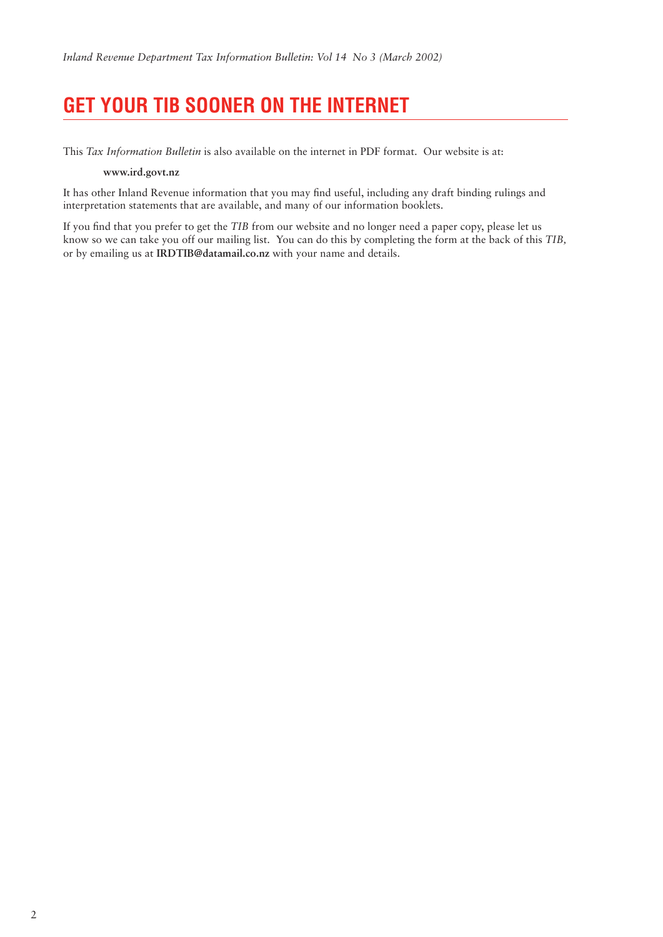## **GET YOUR TIB SOONER ON THE INTERNET**

This *Tax Information Bulletin* is also available on the internet in PDF format. Our website is at:

#### **www.ird.govt.nz**

It has other Inland Revenue information that you may find useful, including any draft binding rulings and interpretation statements that are available, and many of our information booklets.

If you find that you prefer to get the *TIB* from our website and no longer need a paper copy, please let us know so we can take you off our mailing list. You can do this by completing the form at the back of this *TIB,*  or by emailing us at **IRDTIB@datamail.co.nz** with your name and details.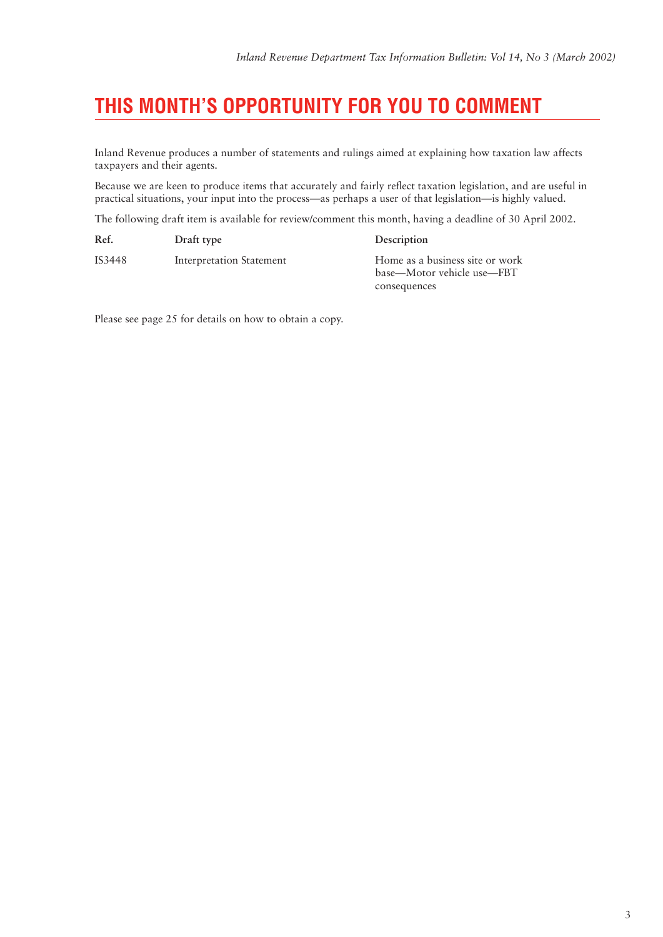## **THIS MONTH'S OPPORTUNITY FOR YOU TO COMMENT**

Inland Revenue produces a number of statements and rulings aimed at explaining how taxation law affects taxpayers and their agents.

Because we are keen to produce items that accurately and fairly reflect taxation legislation, and are useful in practical situations, your input into the process—as perhaps a user of that legislation—is highly valued.

The following draft item is available for review/comment this month, having a deadline of 30 April 2002.

| Ref.   | Draft type               | Description                                                   |
|--------|--------------------------|---------------------------------------------------------------|
| IS3448 | Interpretation Statement | Home as a business site or work<br>base—Motor vehicle use—FBT |
|        |                          | consequences                                                  |

Please see page 25 for details on how to obtain a copy.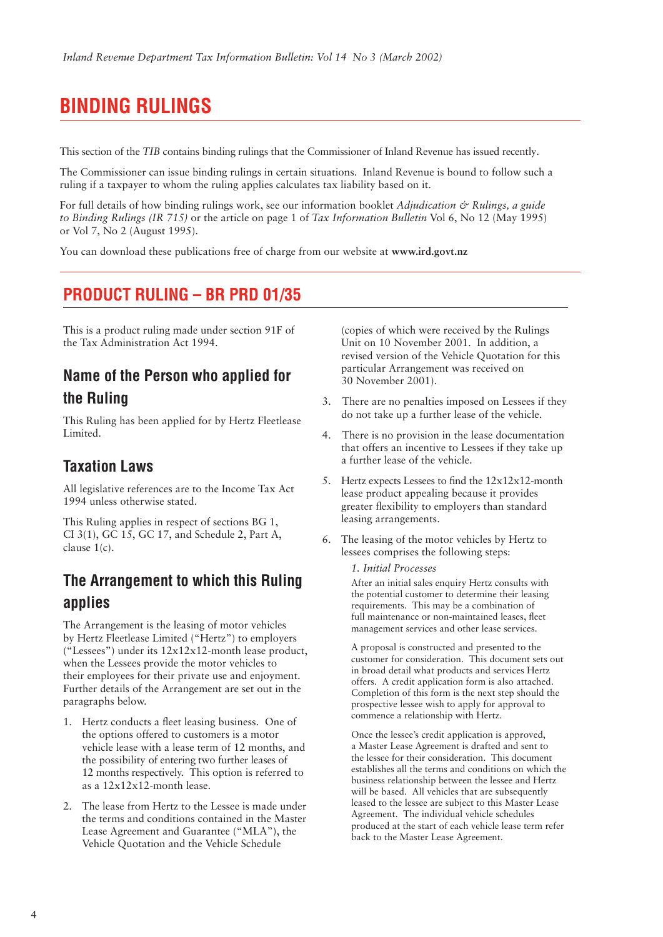## **BINDING RULINGS**

This section of the *TIB* contains binding rulings that the Commissioner of Inland Revenue has issued recently.

The Commissioner can issue binding rulings in certain situations. Inland Revenue is bound to follow such a ruling if a taxpayer to whom the ruling applies calculates tax liability based on it.

For full details of how binding rulings work, see our information booklet *Adjudication & Rulings, a guide to Binding Rulings (IR 715)* or the article on page 1 of *Tax Information Bulletin* Vol 6, No 12 (May 1995) or Vol 7, No 2 (August 1995).

You can download these publications free of charge from our website at **www.ird.govt.nz**

### **PRODUCT RULING – BR PRD 01/35**

This is a product ruling made under section 91F of the Tax Administration Act 1994.

### **Name of the Person who applied for the Ruling**

This Ruling has been applied for by Hertz Fleetlease Limited.

#### **Taxation Laws**

All legislative references are to the Income Tax Act 1994 unless otherwise stated.

This Ruling applies in respect of sections BG 1, CI 3(1), GC 15, GC 17, and Schedule 2, Part A, clause 1(c).

### **The Arrangement to which this Ruling applies**

The Arrangement is the leasing of motor vehicles by Hertz Fleetlease Limited ("Hertz") to employers ("Lessees") under its 12x12x12-month lease product, when the Lessees provide the motor vehicles to their employees for their private use and enjoyment. Further details of the Arrangement are set out in the paragraphs below.

- 1. Hertz conducts a fleet leasing business. One of the options offered to customers is a motor vehicle lease with a lease term of 12 months, and the possibility of entering two further leases of 12 months respectively. This option is referred to as a 12x12x12-month lease.
- 2. The lease from Hertz to the Lessee is made under the terms and conditions contained in the Master Lease Agreement and Guarantee ("MLA"), the Vehicle Quotation and the Vehicle Schedule

(copies of which were received by the Rulings Unit on 10 November 2001. In addition, a revised version of the Vehicle Quotation for this particular Arrangement was received on 30 November 2001).

- 3. There are no penalties imposed on Lessees if they do not take up a further lease of the vehicle.
- 4. There is no provision in the lease documentation that offers an incentive to Lessees if they take up a further lease of the vehicle.
- 5. Hertz expects Lessees to find the 12x12x12-month lease product appealing because it provides greater flexibility to employers than standard leasing arrangements.
- 6. The leasing of the motor vehicles by Hertz to lessees comprises the following steps:

#### *1. Initial Processes*

After an initial sales enquiry Hertz consults with the potential customer to determine their leasing requirements. This may be a combination of full maintenance or non-maintained leases, fleet management services and other lease services.

A proposal is constructed and presented to the customer for consideration. This document sets out in broad detail what products and services Hertz offers. A credit application form is also attached. Completion of this form is the next step should the prospective lessee wish to apply for approval to commence a relationship with Hertz.

Once the lessee's credit application is approved, a Master Lease Agreement is drafted and sent to the lessee for their consideration. This document establishes all the terms and conditions on which the business relationship between the lessee and Hertz will be based. All vehicles that are subsequently leased to the lessee are subject to this Master Lease Agreement. The individual vehicle schedules produced at the start of each vehicle lease term refer back to the Master Lease Agreement.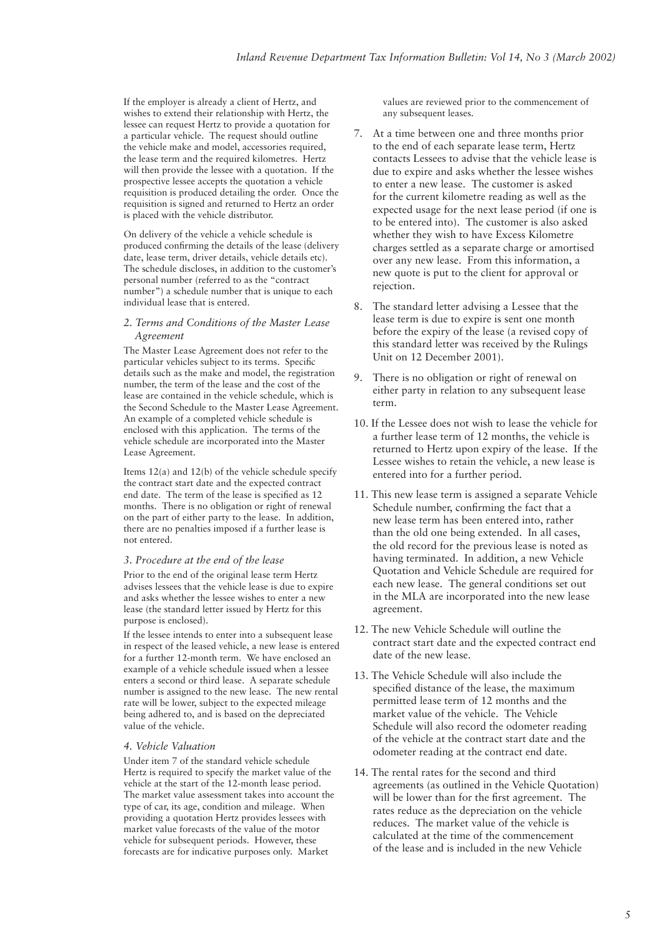If the employer is already a client of Hertz, and wishes to extend their relationship with Hertz, the lessee can request Hertz to provide a quotation for a particular vehicle. The request should outline the vehicle make and model, accessories required, the lease term and the required kilometres. Hertz will then provide the lessee with a quotation. If the prospective lessee accepts the quotation a vehicle requisition is produced detailing the order. Once the requisition is signed and returned to Hertz an order is placed with the vehicle distributor.

On delivery of the vehicle a vehicle schedule is produced confirming the details of the lease (delivery date, lease term, driver details, vehicle details etc). The schedule discloses, in addition to the customer's personal number (referred to as the "contract number") a schedule number that is unique to each individual lease that is entered.

#### *2. Terms and Conditions of the Master Lease Agreement*

The Master Lease Agreement does not refer to the particular vehicles subject to its terms. Specific details such as the make and model, the registration number, the term of the lease and the cost of the lease are contained in the vehicle schedule, which is the Second Schedule to the Master Lease Agreement. An example of a completed vehicle schedule is enclosed with this application. The terms of the vehicle schedule are incorporated into the Master Lease Agreement.

Items 12(a) and 12(b) of the vehicle schedule specify the contract start date and the expected contract end date. The term of the lease is specified as 12 months. There is no obligation or right of renewal on the part of either party to the lease. In addition, there are no penalties imposed if a further lease is not entered.

#### *3. Procedure at the end of the lease*

Prior to the end of the original lease term Hertz advises lessees that the vehicle lease is due to expire and asks whether the lessee wishes to enter a new lease (the standard letter issued by Hertz for this purpose is enclosed).

If the lessee intends to enter into a subsequent lease in respect of the leased vehicle, a new lease is entered for a further 12-month term. We have enclosed an example of a vehicle schedule issued when a lessee enters a second or third lease. A separate schedule number is assigned to the new lease. The new rental rate will be lower, subject to the expected mileage being adhered to, and is based on the depreciated value of the vehicle.

#### *4. Vehicle Valuation*

Under item 7 of the standard vehicle schedule Hertz is required to specify the market value of the vehicle at the start of the 12-month lease period. The market value assessment takes into account the type of car, its age, condition and mileage. When providing a quotation Hertz provides lessees with market value forecasts of the value of the motor vehicle for subsequent periods. However, these forecasts are for indicative purposes only. Market

values are reviewed prior to the commencement of any subsequent leases.

- 7. At a time between one and three months prior to the end of each separate lease term, Hertz contacts Lessees to advise that the vehicle lease is due to expire and asks whether the lessee wishes to enter a new lease. The customer is asked for the current kilometre reading as well as the expected usage for the next lease period (if one is to be entered into). The customer is also asked whether they wish to have Excess Kilometre charges settled as a separate charge or amortised over any new lease. From this information, a new quote is put to the client for approval or rejection.
- 8. The standard letter advising a Lessee that the lease term is due to expire is sent one month before the expiry of the lease (a revised copy of this standard letter was received by the Rulings Unit on 12 December 2001).
- 9. There is no obligation or right of renewal on either party in relation to any subsequent lease term.
- 10. If the Lessee does not wish to lease the vehicle for a further lease term of 12 months, the vehicle is returned to Hertz upon expiry of the lease. If the Lessee wishes to retain the vehicle, a new lease is entered into for a further period.
- 11. This new lease term is assigned a separate Vehicle Schedule number, confirming the fact that a new lease term has been entered into, rather than the old one being extended. In all cases, the old record for the previous lease is noted as having terminated. In addition, a new Vehicle Quotation and Vehicle Schedule are required for each new lease. The general conditions set out in the MLA are incorporated into the new lease agreement.
- 12. The new Vehicle Schedule will outline the contract start date and the expected contract end date of the new lease.
- 13. The Vehicle Schedule will also include the specified distance of the lease, the maximum permitted lease term of 12 months and the market value of the vehicle. The Vehicle Schedule will also record the odometer reading of the vehicle at the contract start date and the odometer reading at the contract end date.
- 14. The rental rates for the second and third agreements (as outlined in the Vehicle Quotation) will be lower than for the first agreement. The rates reduce as the depreciation on the vehicle reduces. The market value of the vehicle is calculated at the time of the commencement of the lease and is included in the new Vehicle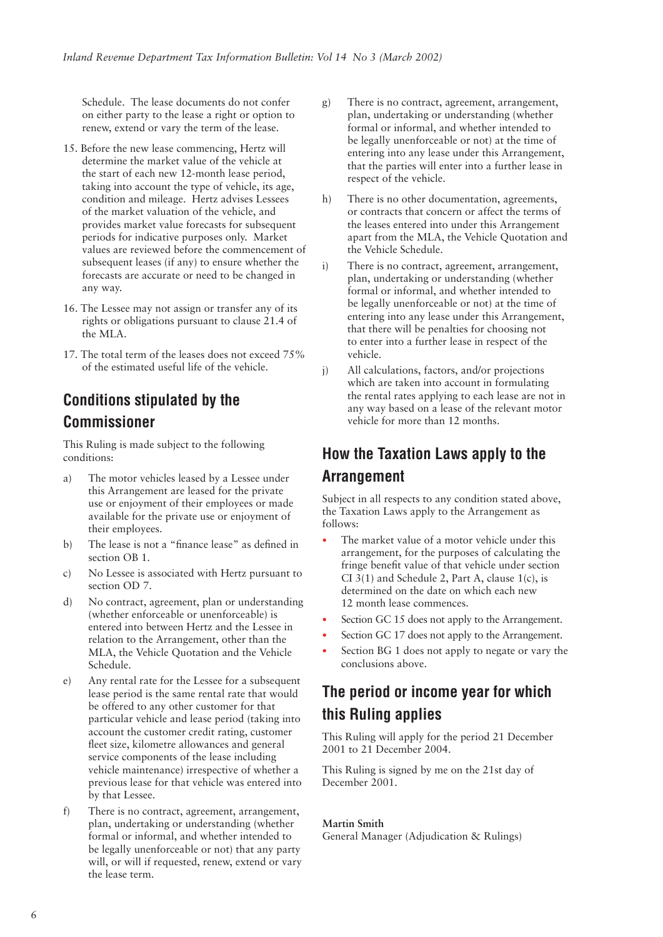Schedule. The lease documents do not confer on either party to the lease a right or option to renew, extend or vary the term of the lease.

- 15. Before the new lease commencing, Hertz will determine the market value of the vehicle at the start of each new 12-month lease period, taking into account the type of vehicle, its age, condition and mileage. Hertz advises Lessees of the market valuation of the vehicle, and provides market value forecasts for subsequent periods for indicative purposes only. Market values are reviewed before the commencement of subsequent leases (if any) to ensure whether the forecasts are accurate or need to be changed in any way.
- 16. The Lessee may not assign or transfer any of its rights or obligations pursuant to clause 21.4 of the MLA.
- 17. The total term of the leases does not exceed 75% of the estimated useful life of the vehicle.

### **Conditions stipulated by the Commissioner**

This Ruling is made subject to the following conditions:

- a) The motor vehicles leased by a Lessee under this Arrangement are leased for the private use or enjoyment of their employees or made available for the private use or enjoyment of their employees.
- b) The lease is not a "finance lease" as defined in section OB<sub>1</sub>
- c) No Lessee is associated with Hertz pursuant to section OD 7.
- d) No contract, agreement, plan or understanding (whether enforceable or unenforceable) is entered into between Hertz and the Lessee in relation to the Arrangement, other than the MLA, the Vehicle Quotation and the Vehicle Schedule.
- e) Any rental rate for the Lessee for a subsequent lease period is the same rental rate that would be offered to any other customer for that particular vehicle and lease period (taking into account the customer credit rating, customer fleet size, kilometre allowances and general service components of the lease including vehicle maintenance) irrespective of whether a previous lease for that vehicle was entered into by that Lessee.
- f) There is no contract, agreement, arrangement, plan, undertaking or understanding (whether formal or informal, and whether intended to be legally unenforceable or not) that any party will, or will if requested, renew, extend or vary the lease term.
- g) There is no contract, agreement, arrangement, plan, undertaking or understanding (whether formal or informal, and whether intended to be legally unenforceable or not) at the time of entering into any lease under this Arrangement, that the parties will enter into a further lease in respect of the vehicle.
- h) There is no other documentation, agreements, or contracts that concern or affect the terms of the leases entered into under this Arrangement apart from the MLA, the Vehicle Quotation and the Vehicle Schedule.
- i) There is no contract, agreement, arrangement, plan, undertaking or understanding (whether formal or informal, and whether intended to be legally unenforceable or not) at the time of entering into any lease under this Arrangement, that there will be penalties for choosing not to enter into a further lease in respect of the vehicle.
- j) All calculations, factors, and/or projections which are taken into account in formulating the rental rates applying to each lease are not in any way based on a lease of the relevant motor vehicle for more than 12 months.

### **How the Taxation Laws apply to the Arrangement**

Subject in all respects to any condition stated above, the Taxation Laws apply to the Arrangement as follows:

- The market value of a motor vehicle under this arrangement, for the purposes of calculating the fringe benefit value of that vehicle under section CI 3(1) and Schedule 2, Part A, clause 1(c), is determined on the date on which each new 12 month lease commences.
- Section GC 15 does not apply to the Arrangement.
- Section GC 17 does not apply to the Arrangement.
- Section BG 1 does not apply to negate or vary the conclusions above.

### **The period or income year for which this Ruling applies**

This Ruling will apply for the period 21 December 2001 to 21 December 2004.

This Ruling is signed by me on the 21st day of December 2001.

#### **Martin Smith**

General Manager (Adjudication & Rulings)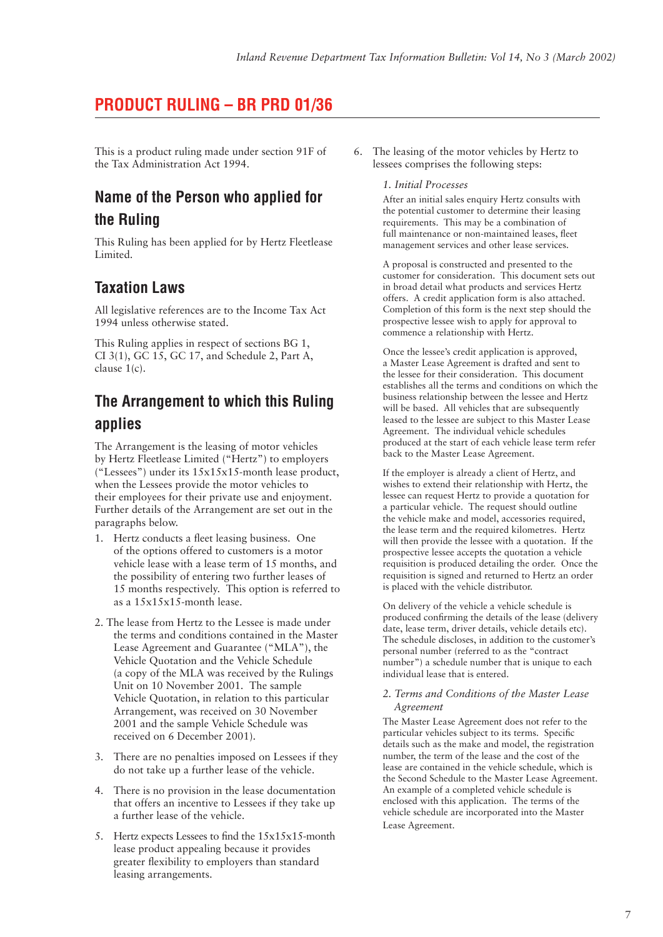### **PRODUCT RULING – BR PRD 01/36**

This is a product ruling made under section 91F of the Tax Administration Act 1994.

### **Name of the Person who applied for the Ruling**

This Ruling has been applied for by Hertz Fleetlease Limited.

### **Taxation Laws**

All legislative references are to the Income Tax Act 1994 unless otherwise stated.

This Ruling applies in respect of sections BG 1, CI 3(1), GC 15, GC 17, and Schedule 2, Part A, clause 1(c).

### **The Arrangement to which this Ruling applies**

The Arrangement is the leasing of motor vehicles by Hertz Fleetlease Limited ("Hertz") to employers ("Lessees") under its 15x15x15-month lease product, when the Lessees provide the motor vehicles to their employees for their private use and enjoyment. Further details of the Arrangement are set out in the paragraphs below.

- 1. Hertz conducts a fleet leasing business. One of the options offered to customers is a motor vehicle lease with a lease term of 15 months, and the possibility of entering two further leases of 15 months respectively. This option is referred to as a 15x15x15-month lease.
- 2. The lease from Hertz to the Lessee is made under the terms and conditions contained in the Master Lease Agreement and Guarantee ("MLA"), the Vehicle Quotation and the Vehicle Schedule (a copy of the MLA was received by the Rulings Unit on 10 November 2001. The sample Vehicle Quotation, in relation to this particular Arrangement, was received on 30 November 2001 and the sample Vehicle Schedule was received on 6 December 2001).
- 3. There are no penalties imposed on Lessees if they do not take up a further lease of the vehicle.
- 4. There is no provision in the lease documentation that offers an incentive to Lessees if they take up a further lease of the vehicle.
- 5. Hertz expects Lessees to find the 15x15x15-month lease product appealing because it provides greater flexibility to employers than standard leasing arrangements.

6. The leasing of the motor vehicles by Hertz to lessees comprises the following steps:

#### *1. Initial Processes*

After an initial sales enquiry Hertz consults with the potential customer to determine their leasing requirements. This may be a combination of full maintenance or non-maintained leases, fleet management services and other lease services.

A proposal is constructed and presented to the customer for consideration. This document sets out in broad detail what products and services Hertz offers. A credit application form is also attached. Completion of this form is the next step should the prospective lessee wish to apply for approval to commence a relationship with Hertz.

Once the lessee's credit application is approved, a Master Lease Agreement is drafted and sent to the lessee for their consideration. This document establishes all the terms and conditions on which the business relationship between the lessee and Hertz will be based. All vehicles that are subsequently leased to the lessee are subject to this Master Lease Agreement. The individual vehicle schedules produced at the start of each vehicle lease term refer back to the Master Lease Agreement.

If the employer is already a client of Hertz, and wishes to extend their relationship with Hertz, the lessee can request Hertz to provide a quotation for a particular vehicle. The request should outline the vehicle make and model, accessories required, the lease term and the required kilometres. Hertz will then provide the lessee with a quotation. If the prospective lessee accepts the quotation a vehicle requisition is produced detailing the order. Once the requisition is signed and returned to Hertz an order is placed with the vehicle distributor.

On delivery of the vehicle a vehicle schedule is produced confirming the details of the lease (delivery date, lease term, driver details, vehicle details etc). The schedule discloses, in addition to the customer's personal number (referred to as the "contract number") a schedule number that is unique to each individual lease that is entered.

#### *2. Terms and Conditions of the Master Lease Agreement*

The Master Lease Agreement does not refer to the particular vehicles subject to its terms. Specific details such as the make and model, the registration number, the term of the lease and the cost of the lease are contained in the vehicle schedule, which is the Second Schedule to the Master Lease Agreement. An example of a completed vehicle schedule is enclosed with this application. The terms of the vehicle schedule are incorporated into the Master Lease Agreement.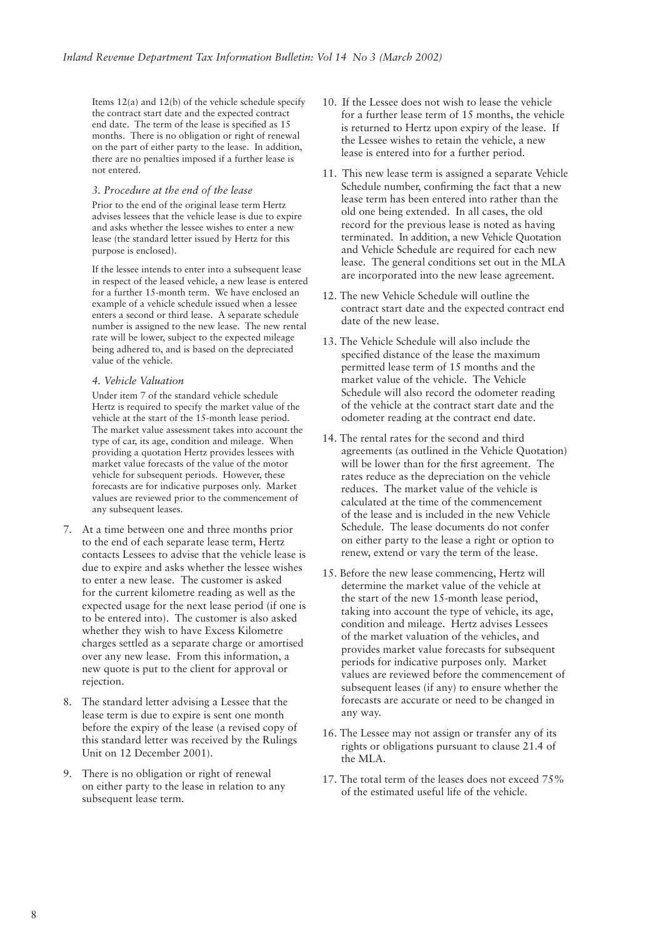Items 12(a) and 12(b) of the vehicle schedule specify the contract start date and the expected contract end date. The term of the lease is specified as 15 months. There is no obligation or right of renewal on the part of either party to the lease. In addition, there are no penalties imposed if a further lease is not entered.

#### *3. Procedure at the end of the lease*

Prior to the end of the original lease term Hertz advises lessees that the vehicle lease is due to expire and asks whether the lessee wishes to enter a new lease (the standard letter issued by Hertz for this purpose is enclosed).

If the lessee intends to enter into a subsequent lease in respect of the leased vehicle, a new lease is entered for a further 15-month term. We have enclosed an example of a vehicle schedule issued when a lessee enters a second or third lease. A separate schedule number is assigned to the new lease. The new rental rate will be lower, subject to the expected mileage being adhered to, and is based on the depreciated value of the vehicle.

#### *4. Vehicle Valuation*

Under item 7 of the standard vehicle schedule Hertz is required to specify the market value of the vehicle at the start of the 15-month lease period. The market value assessment takes into account the type of car, its age, condition and mileage. When providing a quotation Hertz provides lessees with market value forecasts of the value of the motor vehicle for subsequent periods. However, these forecasts are for indicative purposes only. Market values are reviewed prior to the commencement of any subsequent leases.

- 7. At a time between one and three months prior to the end of each separate lease term, Hertz contacts Lessees to advise that the vehicle lease is due to expire and asks whether the lessee wishes to enter a new lease. The customer is asked for the current kilometre reading as well as the expected usage for the next lease period (if one is to be entered into). The customer is also asked whether they wish to have Excess Kilometre charges settled as a separate charge or amortised over any new lease. From this information, a new quote is put to the client for approval or rejection.
- 8. The standard letter advising a Lessee that the lease term is due to expire is sent one month before the expiry of the lease (a revised copy of this standard letter was received by the Rulings Unit on 12 December 2001).
- 9. There is no obligation or right of renewal on either party to the lease in relation to any subsequent lease term.
- 10. If the Lessee does not wish to lease the vehicle for a further lease term of 15 months, the vehicle is returned to Hertz upon expiry of the lease. If the Lessee wishes to retain the vehicle, a new lease is entered into for a further period.
- 11. This new lease term is assigned a separate Vehicle Schedule number, confirming the fact that a new lease term has been entered into rather than the old one being extended. In all cases, the old record for the previous lease is noted as having terminated. In addition, a new Vehicle Quotation and Vehicle Schedule are required for each new lease. The general conditions set out in the MLA are incorporated into the new lease agreement.
- 12. The new Vehicle Schedule will outline the contract start date and the expected contract end date of the new lease.
- 13. The Vehicle Schedule will also include the specified distance of the lease the maximum permitted lease term of 15 months and the market value of the vehicle. The Vehicle Schedule will also record the odometer reading of the vehicle at the contract start date and the odometer reading at the contract end date.
- 14. The rental rates for the second and third agreements (as outlined in the Vehicle Quotation) will be lower than for the first agreement. The rates reduce as the depreciation on the vehicle reduces. The market value of the vehicle is calculated at the time of the commencement of the lease and is included in the new Vehicle Schedule. The lease documents do not confer on either party to the lease a right or option to renew, extend or vary the term of the lease.
- 15. Before the new lease commencing, Hertz will determine the market value of the vehicle at the start of the new 15-month lease period, taking into account the type of vehicle, its age, condition and mileage. Hertz advises Lessees of the market valuation of the vehicles, and provides market value forecasts for subsequent periods for indicative purposes only. Market values are reviewed before the commencement of subsequent leases (if any) to ensure whether the forecasts are accurate or need to be changed in any way.
- 16. The Lessee may not assign or transfer any of its rights or obligations pursuant to clause 21.4 of the MLA.
- 17. The total term of the leases does not exceed 75% of the estimated useful life of the vehicle.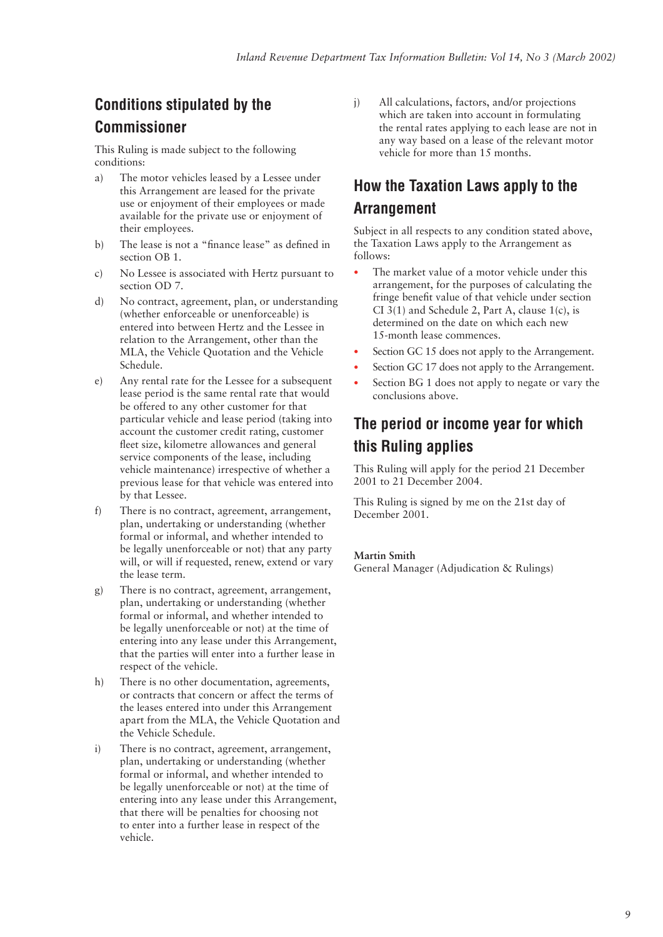## **Conditions stipulated by the Commissioner**

This Ruling is made subject to the following conditions:

- a) The motor vehicles leased by a Lessee under this Arrangement are leased for the private use or enjoyment of their employees or made available for the private use or enjoyment of their employees.
- b) The lease is not a "finance lease" as defined in section OB 1.
- c) No Lessee is associated with Hertz pursuant to section OD 7.
- d) No contract, agreement, plan, or understanding (whether enforceable or unenforceable) is entered into between Hertz and the Lessee in relation to the Arrangement, other than the MLA, the Vehicle Quotation and the Vehicle Schedule.
- e) Any rental rate for the Lessee for a subsequent lease period is the same rental rate that would be offered to any other customer for that particular vehicle and lease period (taking into account the customer credit rating, customer fleet size, kilometre allowances and general service components of the lease, including vehicle maintenance) irrespective of whether a previous lease for that vehicle was entered into by that Lessee.
- f) There is no contract, agreement, arrangement, plan, undertaking or understanding (whether formal or informal, and whether intended to be legally unenforceable or not) that any party will, or will if requested, renew, extend or vary the lease term.
- g) There is no contract, agreement, arrangement, plan, undertaking or understanding (whether formal or informal, and whether intended to be legally unenforceable or not) at the time of entering into any lease under this Arrangement, that the parties will enter into a further lease in respect of the vehicle.
- h) There is no other documentation, agreements, or contracts that concern or affect the terms of the leases entered into under this Arrangement apart from the MLA, the Vehicle Quotation and the Vehicle Schedule.
- i) There is no contract, agreement, arrangement, plan, undertaking or understanding (whether formal or informal, and whether intended to be legally unenforceable or not) at the time of entering into any lease under this Arrangement, that there will be penalties for choosing not to enter into a further lease in respect of the vehicle.

j) All calculations, factors, and/or projections which are taken into account in formulating the rental rates applying to each lease are not in any way based on a lease of the relevant motor vehicle for more than 15 months.

### **How the Taxation Laws apply to the Arrangement**

Subject in all respects to any condition stated above, the Taxation Laws apply to the Arrangement as follows:

- The market value of a motor vehicle under this arrangement, for the purposes of calculating the fringe benefit value of that vehicle under section CI  $3(1)$  and Schedule 2, Part A, clause  $1(c)$ , is determined on the date on which each new 15-month lease commences.
- Section GC 15 does not apply to the Arrangement.
- Section GC 17 does not apply to the Arrangement.
- Section BG 1 does not apply to negate or vary the conclusions above.

### **The period or income year for which this Ruling applies**

This Ruling will apply for the period 21 December 2001 to 21 December 2004.

This Ruling is signed by me on the 21st day of December 2001.

#### **Martin Smith**

General Manager (Adjudication & Rulings)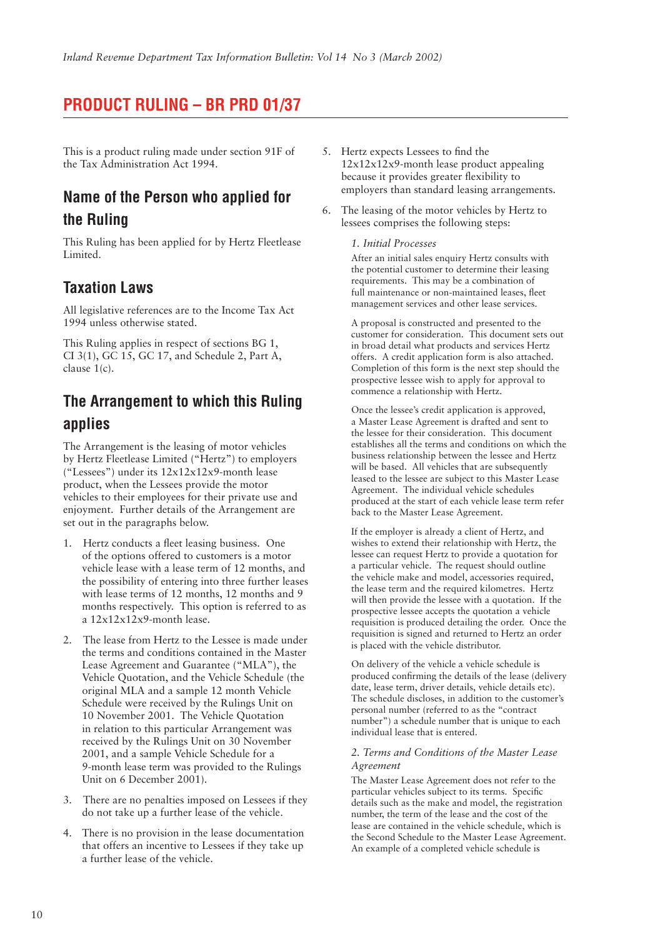### **PRODUCT RULING – BR PRD 01/37**

This is a product ruling made under section 91F of the Tax Administration Act 1994.

### **Name of the Person who applied for the Ruling**

This Ruling has been applied for by Hertz Fleetlease Limited.

#### **Taxation Laws**

All legislative references are to the Income Tax Act 1994 unless otherwise stated.

This Ruling applies in respect of sections BG 1, CI 3(1), GC 15, GC 17, and Schedule 2, Part A, clause 1(c).

### **The Arrangement to which this Ruling applies**

The Arrangement is the leasing of motor vehicles by Hertz Fleetlease Limited ("Hertz") to employers ("Lessees") under its 12x12x12x9-month lease product, when the Lessees provide the motor vehicles to their employees for their private use and enjoyment. Further details of the Arrangement are set out in the paragraphs below.

- 1. Hertz conducts a fleet leasing business. One of the options offered to customers is a motor vehicle lease with a lease term of 12 months, and the possibility of entering into three further leases with lease terms of 12 months, 12 months and 9 months respectively. This option is referred to as a 12x12x12x9-month lease.
- 2. The lease from Hertz to the Lessee is made under the terms and conditions contained in the Master Lease Agreement and Guarantee ("MLA"), the Vehicle Quotation, and the Vehicle Schedule (the original MLA and a sample 12 month Vehicle Schedule were received by the Rulings Unit on 10 November 2001. The Vehicle Quotation in relation to this particular Arrangement was received by the Rulings Unit on 30 November 2001, and a sample Vehicle Schedule for a 9-month lease term was provided to the Rulings Unit on 6 December 2001).
- 3. There are no penalties imposed on Lessees if they do not take up a further lease of the vehicle.
- 4. There is no provision in the lease documentation that offers an incentive to Lessees if they take up a further lease of the vehicle.
- 5. Hertz expects Lessees to find the  $12x12x12x9$ -month lease product appealing because it provides greater flexibility to employers than standard leasing arrangements.
- 6. The leasing of the motor vehicles by Hertz to lessees comprises the following steps:

#### *1. Initial Processes*

After an initial sales enquiry Hertz consults with the potential customer to determine their leasing requirements. This may be a combination of full maintenance or non-maintained leases, fleet management services and other lease services.

A proposal is constructed and presented to the customer for consideration. This document sets out in broad detail what products and services Hertz offers. A credit application form is also attached. Completion of this form is the next step should the prospective lessee wish to apply for approval to commence a relationship with Hertz.

Once the lessee's credit application is approved, a Master Lease Agreement is drafted and sent to the lessee for their consideration. This document establishes all the terms and conditions on which the business relationship between the lessee and Hertz will be based. All vehicles that are subsequently leased to the lessee are subject to this Master Lease Agreement. The individual vehicle schedules produced at the start of each vehicle lease term refer back to the Master Lease Agreement.

If the employer is already a client of Hertz, and wishes to extend their relationship with Hertz, the lessee can request Hertz to provide a quotation for a particular vehicle. The request should outline the vehicle make and model, accessories required, the lease term and the required kilometres. Hertz will then provide the lessee with a quotation. If the prospective lessee accepts the quotation a vehicle requisition is produced detailing the order. Once the requisition is signed and returned to Hertz an order is placed with the vehicle distributor.

On delivery of the vehicle a vehicle schedule is produced confirming the details of the lease (delivery date, lease term, driver details, vehicle details etc). The schedule discloses, in addition to the customer's personal number (referred to as the "contract number") a schedule number that is unique to each individual lease that is entered.

#### *2. Terms and Conditions of the Master Lease Agreement*

The Master Lease Agreement does not refer to the particular vehicles subject to its terms. Specific details such as the make and model, the registration number, the term of the lease and the cost of the lease are contained in the vehicle schedule, which is the Second Schedule to the Master Lease Agreement. An example of a completed vehicle schedule is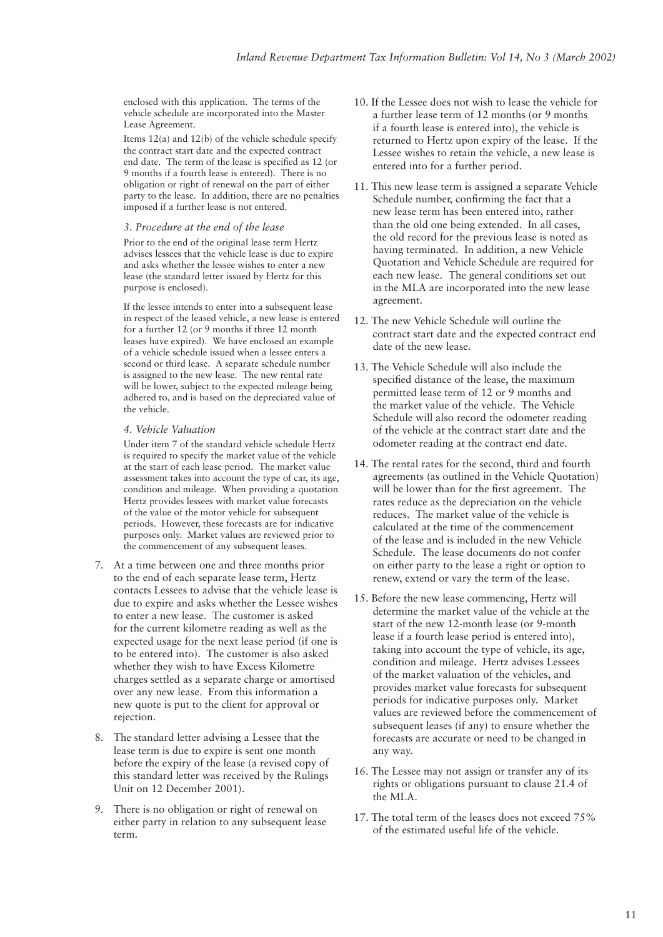enclosed with this application. The terms of the vehicle schedule are incorporated into the Master Lease Agreement.

Items 12(a) and 12(b) of the vehicle schedule specify the contract start date and the expected contract end date. The term of the lease is specified as 12 (or 9 months if a fourth lease is entered). There is no obligation or right of renewal on the part of either party to the lease. In addition, there are no penalties imposed if a further lease is not entered.

#### *3. Procedure at the end of the lease*

Prior to the end of the original lease term Hertz advises lessees that the vehicle lease is due to expire and asks whether the lessee wishes to enter a new lease (the standard letter issued by Hertz for this purpose is enclosed).

If the lessee intends to enter into a subsequent lease in respect of the leased vehicle, a new lease is entered for a further 12 (or 9 months if three 12 month leases have expired). We have enclosed an example of a vehicle schedule issued when a lessee enters a second or third lease. A separate schedule number is assigned to the new lease. The new rental rate will be lower, subject to the expected mileage being adhered to, and is based on the depreciated value of the vehicle.

#### *4. Vehicle Valuation*

Under item 7 of the standard vehicle schedule Hertz is required to specify the market value of the vehicle at the start of each lease period. The market value assessment takes into account the type of car, its age, condition and mileage. When providing a quotation Hertz provides lessees with market value forecasts of the value of the motor vehicle for subsequent periods. However, these forecasts are for indicative purposes only. Market values are reviewed prior to the commencement of any subsequent leases.

- 7. At a time between one and three months prior to the end of each separate lease term, Hertz contacts Lessees to advise that the vehicle lease is due to expire and asks whether the Lessee wishes to enter a new lease. The customer is asked for the current kilometre reading as well as the expected usage for the next lease period (if one is to be entered into). The customer is also asked whether they wish to have Excess Kilometre charges settled as a separate charge or amortised over any new lease. From this information a new quote is put to the client for approval or rejection.
- 8. The standard letter advising a Lessee that the lease term is due to expire is sent one month before the expiry of the lease (a revised copy of this standard letter was received by the Rulings Unit on 12 December 2001).
- 9. There is no obligation or right of renewal on either party in relation to any subsequent lease term.
- 10. If the Lessee does not wish to lease the vehicle for a further lease term of 12 months (or 9 months if a fourth lease is entered into), the vehicle is returned to Hertz upon expiry of the lease. If the Lessee wishes to retain the vehicle, a new lease is entered into for a further period.
- 11. This new lease term is assigned a separate Vehicle Schedule number, confirming the fact that a new lease term has been entered into, rather than the old one being extended. In all cases, the old record for the previous lease is noted as having terminated. In addition, a new Vehicle Quotation and Vehicle Schedule are required for each new lease. The general conditions set out in the MLA are incorporated into the new lease agreement.
- 12. The new Vehicle Schedule will outline the contract start date and the expected contract end date of the new lease.
- 13. The Vehicle Schedule will also include the specified distance of the lease, the maximum permitted lease term of 12 or 9 months and the market value of the vehicle. The Vehicle Schedule will also record the odometer reading of the vehicle at the contract start date and the odometer reading at the contract end date.
- 14. The rental rates for the second, third and fourth agreements (as outlined in the Vehicle Quotation) will be lower than for the first agreement. The rates reduce as the depreciation on the vehicle reduces. The market value of the vehicle is calculated at the time of the commencement of the lease and is included in the new Vehicle Schedule. The lease documents do not confer on either party to the lease a right or option to renew, extend or vary the term of the lease.
- 15. Before the new lease commencing, Hertz will determine the market value of the vehicle at the start of the new 12-month lease (or 9-month lease if a fourth lease period is entered into), taking into account the type of vehicle, its age, condition and mileage. Hertz advises Lessees of the market valuation of the vehicles, and provides market value forecasts for subsequent periods for indicative purposes only. Market values are reviewed before the commencement of subsequent leases (if any) to ensure whether the forecasts are accurate or need to be changed in any way.
- 16. The Lessee may not assign or transfer any of its rights or obligations pursuant to clause 21.4 of the MLA.
- 17. The total term of the leases does not exceed 75% of the estimated useful life of the vehicle.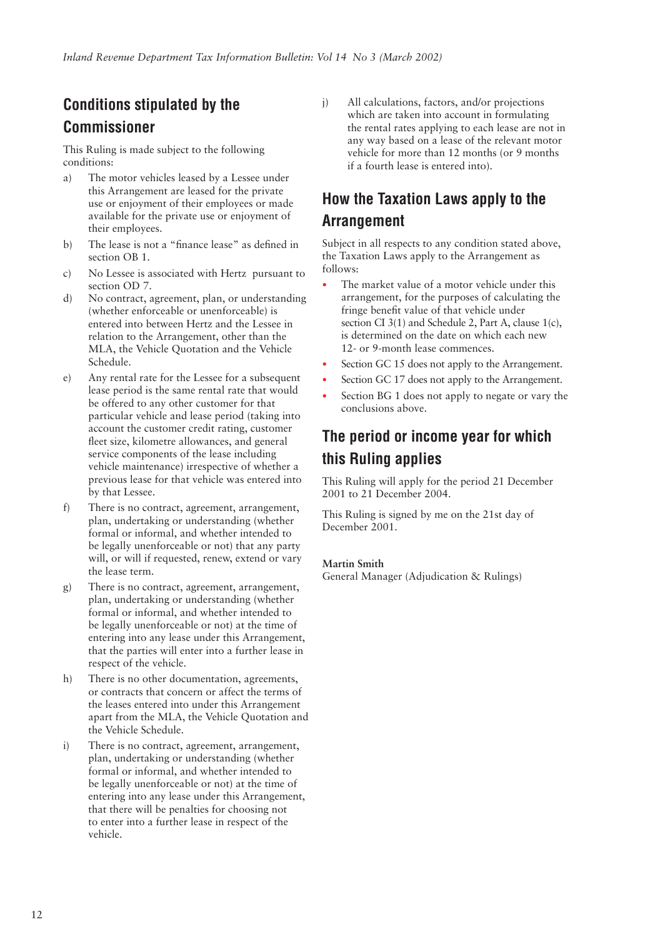## **Conditions stipulated by the Commissioner**

This Ruling is made subject to the following conditions:

- a) The motor vehicles leased by a Lessee under this Arrangement are leased for the private use or enjoyment of their employees or made available for the private use or enjoyment of their employees.
- b) The lease is not a "finance lease" as defined in section OB 1.
- c) No Lessee is associated with Hertz pursuant to section OD 7.
- d) No contract, agreement, plan, or understanding (whether enforceable or unenforceable) is entered into between Hertz and the Lessee in relation to the Arrangement, other than the MLA, the Vehicle Quotation and the Vehicle Schedule.
- e) Any rental rate for the Lessee for a subsequent lease period is the same rental rate that would be offered to any other customer for that particular vehicle and lease period (taking into account the customer credit rating, customer fleet size, kilometre allowances, and general service components of the lease including vehicle maintenance) irrespective of whether a previous lease for that vehicle was entered into by that Lessee.
- f) There is no contract, agreement, arrangement, plan, undertaking or understanding (whether formal or informal, and whether intended to be legally unenforceable or not) that any party will, or will if requested, renew, extend or vary the lease term.
- g) There is no contract, agreement, arrangement, plan, undertaking or understanding (whether formal or informal, and whether intended to be legally unenforceable or not) at the time of entering into any lease under this Arrangement, that the parties will enter into a further lease in respect of the vehicle.
- h) There is no other documentation, agreements, or contracts that concern or affect the terms of the leases entered into under this Arrangement apart from the MLA, the Vehicle Quotation and the Vehicle Schedule.
- i) There is no contract, agreement, arrangement, plan, undertaking or understanding (whether formal or informal, and whether intended to be legally unenforceable or not) at the time of entering into any lease under this Arrangement, that there will be penalties for choosing not to enter into a further lease in respect of the vehicle.

j) All calculations, factors, and/or projections which are taken into account in formulating the rental rates applying to each lease are not in any way based on a lease of the relevant motor vehicle for more than 12 months (or 9 months if a fourth lease is entered into).

### **How the Taxation Laws apply to the Arrangement**

Subject in all respects to any condition stated above, the Taxation Laws apply to the Arrangement as follows:

- The market value of a motor vehicle under this arrangement, for the purposes of calculating the fringe benefit value of that vehicle under section CI 3(1) and Schedule 2, Part A, clause 1(c), is determined on the date on which each new 12- or 9-month lease commences.
- Section GC 15 does not apply to the Arrangement.
- Section GC 17 does not apply to the Arrangement.
- Section BG 1 does not apply to negate or vary the conclusions above.

### **The period or income year for which this Ruling applies**

This Ruling will apply for the period 21 December 2001 to 21 December 2004.

This Ruling is signed by me on the 21st day of December 2001.

#### **Martin Smith**

General Manager (Adjudication & Rulings)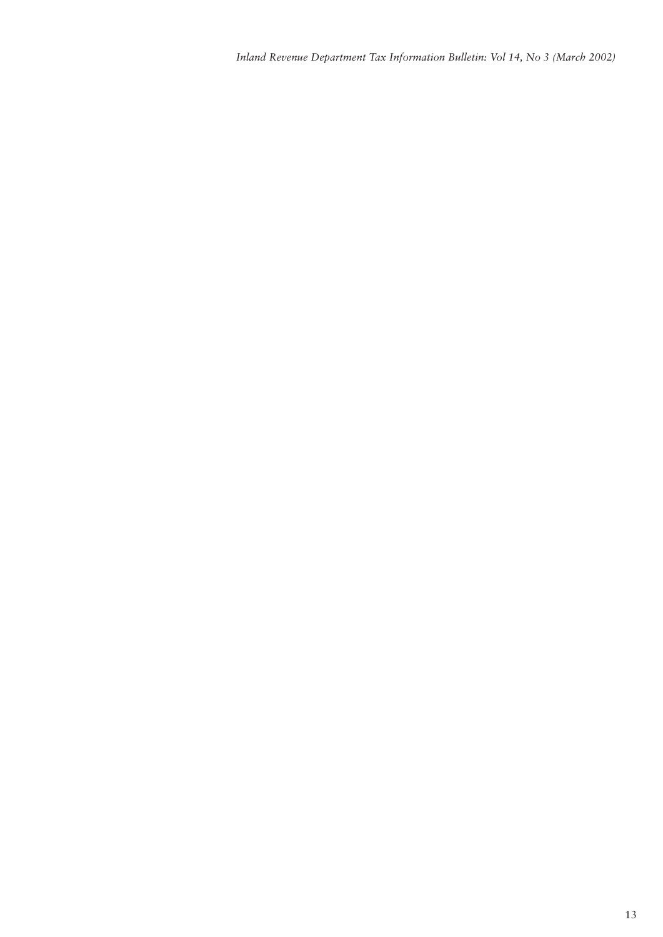*Inland Revenue Department Tax Information Bulletin: Vol 14 No 3 (March 2002) Inland Revenue Department Tax Information Bulletin: Vol 14, No 3 (March 2002)*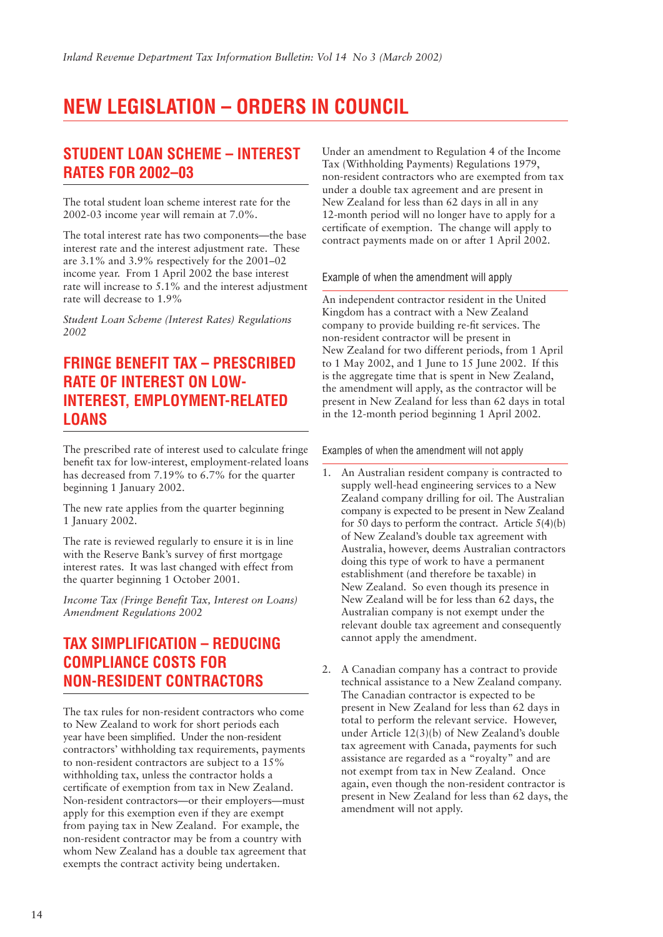## **NEW LEGISLATION – ORDERS IN COUNCIL**

#### **STUDENT LOAN SCHEME – INTEREST RATES FOR 2002–03**

The total student loan scheme interest rate for the 2002-03 income year will remain at 7.0%.

The total interest rate has two components—the base interest rate and the interest adjustment rate. These are 3.1% and 3.9% respectively for the 2001–02 income year. From 1 April 2002 the base interest rate will increase to 5.1% and the interest adjustment rate will decrease to 1.9%

*Student Loan Scheme (Interest Rates) Regulations 2002*

### **FRINGE BENEFIT TAX – PRESCRIBED RATE OF INTEREST ON LOW-INTEREST, EMPLOYMENT-RELATED LOANS**

The prescribed rate of interest used to calculate fringe benefit tax for low-interest, employment-related loans has decreased from 7.19% to 6.7% for the quarter beginning 1 January 2002.

The new rate applies from the quarter beginning 1 January 2002.

The rate is reviewed regularly to ensure it is in line with the Reserve Bank's survey of first mortgage interest rates. It was last changed with effect from the quarter beginning 1 October 2001.

*Income Tax (Fringe Benefit Tax, Interest on Loans) Amendment Regulations 2002*

### **TAX SIMPLIFICATION – REDUCING COMPLIANCE COSTS FOR NON-RESIDENT CONTRACTORS**

The tax rules for non-resident contractors who come to New Zealand to work for short periods each year have been simplified. Under the non-resident contractors' withholding tax requirements, payments to non-resident contractors are subject to a 15% withholding tax, unless the contractor holds a certificate of exemption from tax in New Zealand. Non-resident contractors—or their employers—must apply for this exemption even if they are exempt from paying tax in New Zealand. For example, the non-resident contractor may be from a country with whom New Zealand has a double tax agreement that exempts the contract activity being undertaken.

Under an amendment to Regulation 4 of the Income Tax (Withholding Payments) Regulations 1979, non-resident contractors who are exempted from tax under a double tax agreement and are present in New Zealand for less than 62 days in all in any 12-month period will no longer have to apply for a certificate of exemption. The change will apply to contract payments made on or after 1 April 2002.

Example of when the amendment will apply

An independent contractor resident in the United Kingdom has a contract with a New Zealand company to provide building re-fit services. The non-resident contractor will be present in New Zealand for two different periods, from 1 April to 1 May 2002, and 1 June to 15 June 2002. If this is the aggregate time that is spent in New Zealand, the amendment will apply, as the contractor will be present in New Zealand for less than 62 days in total in the 12-month period beginning 1 April 2002.

Examples of when the amendment will not apply

- 1. An Australian resident company is contracted to supply well-head engineering services to a New Zealand company drilling for oil. The Australian company is expected to be present in New Zealand for 50 days to perform the contract. Article  $5(4)(b)$ of New Zealand's double tax agreement with Australia, however, deems Australian contractors doing this type of work to have a permanent establishment (and therefore be taxable) in New Zealand. So even though its presence in New Zealand will be for less than 62 days, the Australian company is not exempt under the relevant double tax agreement and consequently cannot apply the amendment.
- 2. A Canadian company has a contract to provide technical assistance to a New Zealand company. The Canadian contractor is expected to be present in New Zealand for less than 62 days in total to perform the relevant service. However, under Article 12(3)(b) of New Zealand's double tax agreement with Canada, payments for such assistance are regarded as a "royalty" and are not exempt from tax in New Zealand. Once again, even though the non-resident contractor is present in New Zealand for less than 62 days, the amendment will not apply.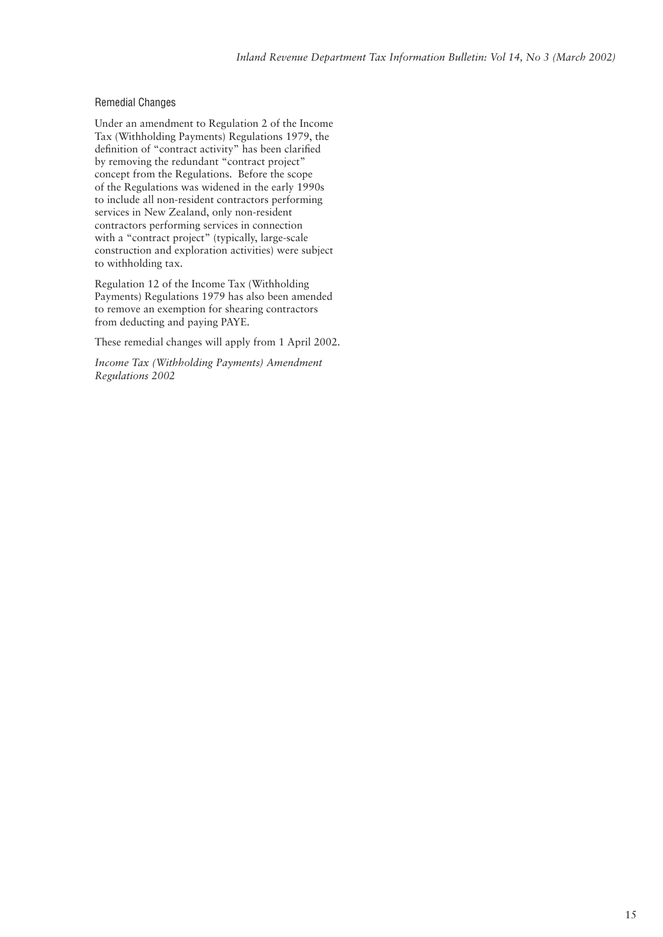#### Remedial Changes

Under an amendment to Regulation 2 of the Income Tax (Withholding Payments) Regulations 1979, the definition of "contract activity" has been clarified by removing the redundant "contract project" concept from the Regulations. Before the scope of the Regulations was widened in the early 1990s to include all non-resident contractors performing services in New Zealand, only non-resident contractors performing services in connection with a "contract project" (typically, large-scale construction and exploration activities) were subject to withholding tax.

Regulation 12 of the Income Tax (Withholding Payments) Regulations 1979 has also been amended to remove an exemption for shearing contractors from deducting and paying PAYE.

These remedial changes will apply from 1 April 2002.

*Income Tax (Withholding Payments) Amendment Regulations 2002*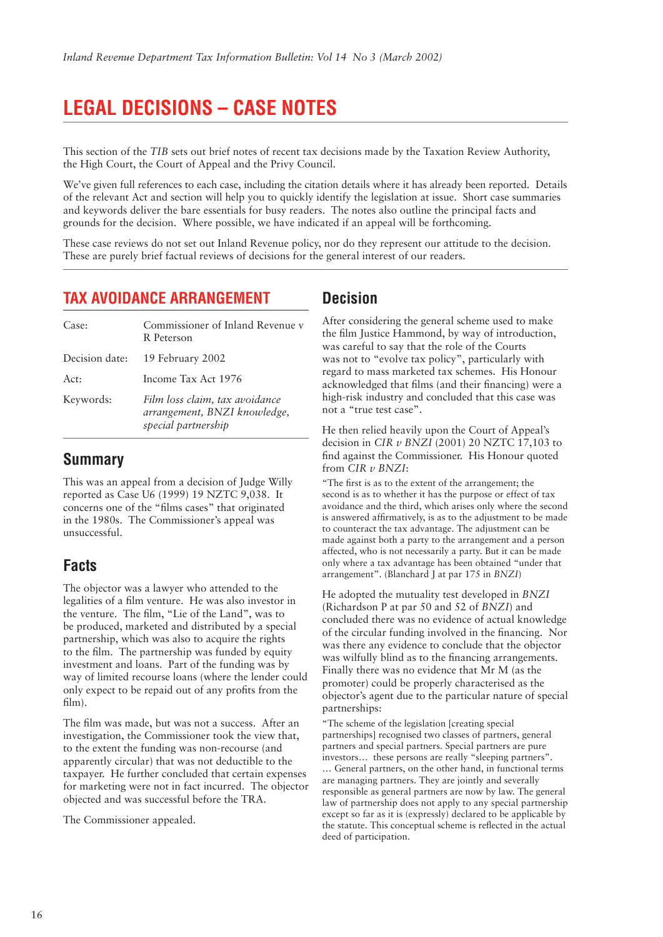## **LEGAL DECISIONS – CASE NOTES**

This section of the *TIB* sets out brief notes of recent tax decisions made by the Taxation Review Authority, the High Court, the Court of Appeal and the Privy Council.

We've given full references to each case, including the citation details where it has already been reported. Details of the relevant Act and section will help you to quickly identify the legislation at issue. Short case summaries and keywords deliver the bare essentials for busy readers. The notes also outline the principal facts and grounds for the decision. Where possible, we have indicated if an appeal will be forthcoming.

These case reviews do not set out Inland Revenue policy, nor do they represent our attitude to the decision. These are purely brief factual reviews of decisions for the general interest of our readers.

#### **TAX AVOIDANCE ARRANGEMENT**

| Case:          | Commissioner of Inland Revenue v<br>R Peterson                                        |
|----------------|---------------------------------------------------------------------------------------|
| Decision date: | 19 February 2002                                                                      |
| Act:           | Income Tax Act 1976                                                                   |
| Keywords:      | Film loss claim, tax avoidance<br>arrangement, BNZI knowledge,<br>special partnership |

#### **Summary**

This was an appeal from a decision of Judge Willy reported as Case U6 (1999) 19 NZTC 9,038. It concerns one of the "films cases" that originated in the 1980s. The Commissioner's appeal was unsuccessful.

### **Facts**

The objector was a lawyer who attended to the legalities of a film venture. He was also investor in the venture. The film, "Lie of the Land", was to be produced, marketed and distributed by a special partnership, which was also to acquire the rights to the film. The partnership was funded by equity investment and loans. Part of the funding was by way of limited recourse loans (where the lender could only expect to be repaid out of any profits from the film).

The film was made, but was not a success. After an investigation, the Commissioner took the view that, to the extent the funding was non-recourse (and apparently circular) that was not deductible to the taxpayer. He further concluded that certain expenses for marketing were not in fact incurred. The objector objected and was successful before the TRA.

The Commissioner appealed.

### **Decision**

After considering the general scheme used to make the film Justice Hammond, by way of introduction, was careful to say that the role of the Courts was not to "evolve tax policy", particularly with regard to mass marketed tax schemes. His Honour acknowledged that films (and their financing) were a high-risk industry and concluded that this case was not a "true test case".

He then relied heavily upon the Court of Appeal's decision in *CIR v BNZI* (2001) 20 NZTC 17,103 to find against the Commissioner. His Honour quoted from *CIR v BNZI*:

"The first is as to the extent of the arrangement; the second is as to whether it has the purpose or effect of tax avoidance and the third, which arises only where the second is answered affirmatively, is as to the adjustment to be made to counteract the tax advantage. The adjustment can be made against both a party to the arrangement and a person affected, who is not necessarily a party. But it can be made only where a tax advantage has been obtained "under that arrangement". (Blanchard J at par 175 in *BNZI*)

He adopted the mutuality test developed in *BNZI*  (Richardson P at par 50 and 52 of *BNZI*) and concluded there was no evidence of actual knowledge of the circular funding involved in the financing. Nor was there any evidence to conclude that the objector was wilfully blind as to the financing arrangements. Finally there was no evidence that Mr M (as the promoter) could be properly characterised as the objector's agent due to the particular nature of special partnerships:

"The scheme of the legislation [creating special partnerships] recognised two classes of partners, general partners and special partners. Special partners are pure investors… these persons are really "sleeping partners". … General partners, on the other hand, in functional terms are managing partners. They are jointly and severally responsible as general partners are now by law. The general law of partnership does not apply to any special partnership except so far as it is (expressly) declared to be applicable by the statute. This conceptual scheme is reflected in the actual deed of participation.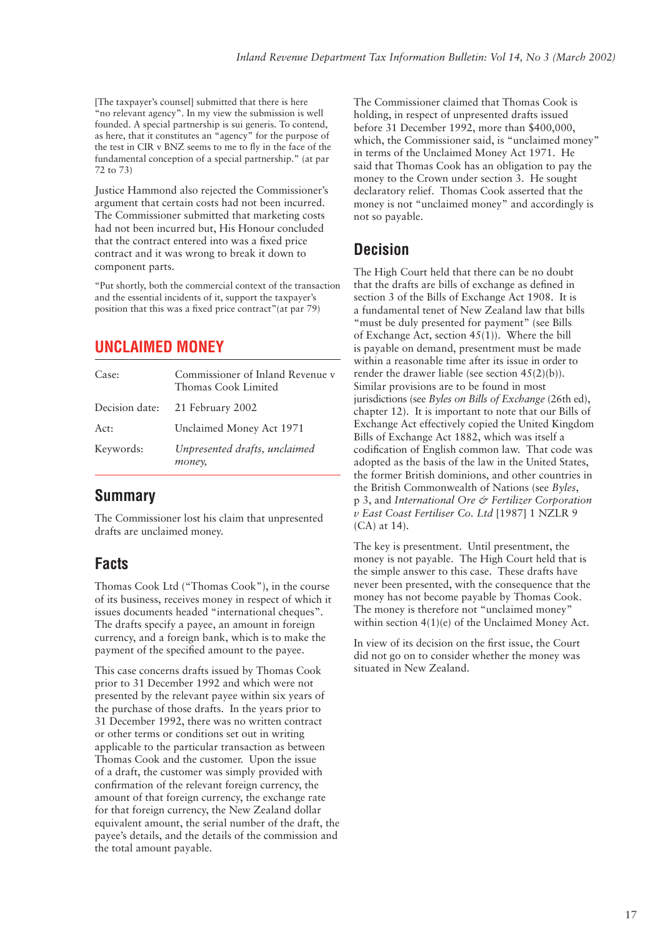[The taxpayer's counsel] submitted that there is here "no relevant agency". In my view the submission is well founded. A special partnership is sui generis. To contend, as here, that it constitutes an "agency" for the purpose of the test in CIR v BNZ seems to me to fly in the face of the fundamental conception of a special partnership." (at par 72 to 73)

Justice Hammond also rejected the Commissioner's argument that certain costs had not been incurred. The Commissioner submitted that marketing costs had not been incurred but, His Honour concluded that the contract entered into was a fixed price contract and it was wrong to break it down to component parts.

"Put shortly, both the commercial context of the transaction and the essential incidents of it, support the taxpayer's position that this was a fixed price contract"(at par 79)

### **UNCLAIMED MONEY**

| Case:     | Commissioner of Inland Revenue v<br>Thomas Cook Limited |
|-----------|---------------------------------------------------------|
|           | Decision date: 21 February 2002                         |
| Act:      | Unclaimed Money Act 1971                                |
| Keywords: | Unpresented drafts, unclaimed<br>money,                 |

#### **Summary**

The Commissioner lost his claim that unpresented drafts are unclaimed money.

#### **Facts**

Thomas Cook Ltd ("Thomas Cook"), in the course of its business, receives money in respect of which it issues documents headed "international cheques". The drafts specify a payee, an amount in foreign currency, and a foreign bank, which is to make the payment of the specified amount to the payee.

This case concerns drafts issued by Thomas Cook prior to 31 December 1992 and which were not presented by the relevant payee within six years of the purchase of those drafts. In the years prior to 31 December 1992, there was no written contract or other terms or conditions set out in writing applicable to the particular transaction as between Thomas Cook and the customer. Upon the issue of a draft, the customer was simply provided with confirmation of the relevant foreign currency, the amount of that foreign currency, the exchange rate for that foreign currency, the New Zealand dollar equivalent amount, the serial number of the draft, the payee's details, and the details of the commission and the total amount payable.

The Commissioner claimed that Thomas Cook is holding, in respect of unpresented drafts issued before 31 December 1992, more than \$400,000, which, the Commissioner said, is "unclaimed money" in terms of the Unclaimed Money Act 1971. He said that Thomas Cook has an obligation to pay the money to the Crown under section 3. He sought declaratory relief. Thomas Cook asserted that the money is not "unclaimed money" and accordingly is not so payable.

#### **Decision**

The High Court held that there can be no doubt that the drafts are bills of exchange as defined in section 3 of the Bills of Exchange Act 1908. It is a fundamental tenet of New Zealand law that bills "must be duly presented for payment" (see Bills of Exchange Act, section 45(1)). Where the bill is payable on demand, presentment must be made within a reasonable time after its issue in order to render the drawer liable (see section 45(2)(b)). Similar provisions are to be found in most jurisdictions (see *Byles on Bills of Exchange* (26th ed), chapter 12). It is important to note that our Bills of Exchange Act effectively copied the United Kingdom Bills of Exchange Act 1882, which was itself a codification of English common law. That code was adopted as the basis of the law in the United States, the former British dominions, and other countries in the British Commonwealth of Nations (see *Byles*, p 3, and *International Ore & Fertilizer Corporation v East Coast Fertiliser Co. Ltd* [1987] 1 NZLR 9 (CA) at 14).

The key is presentment. Until presentment, the money is not payable. The High Court held that is the simple answer to this case. These drafts have never been presented, with the consequence that the money has not become payable by Thomas Cook. The money is therefore not "unclaimed money" within section 4(1)(e) of the Unclaimed Money Act.

In view of its decision on the first issue, the Court did not go on to consider whether the money was situated in New Zealand.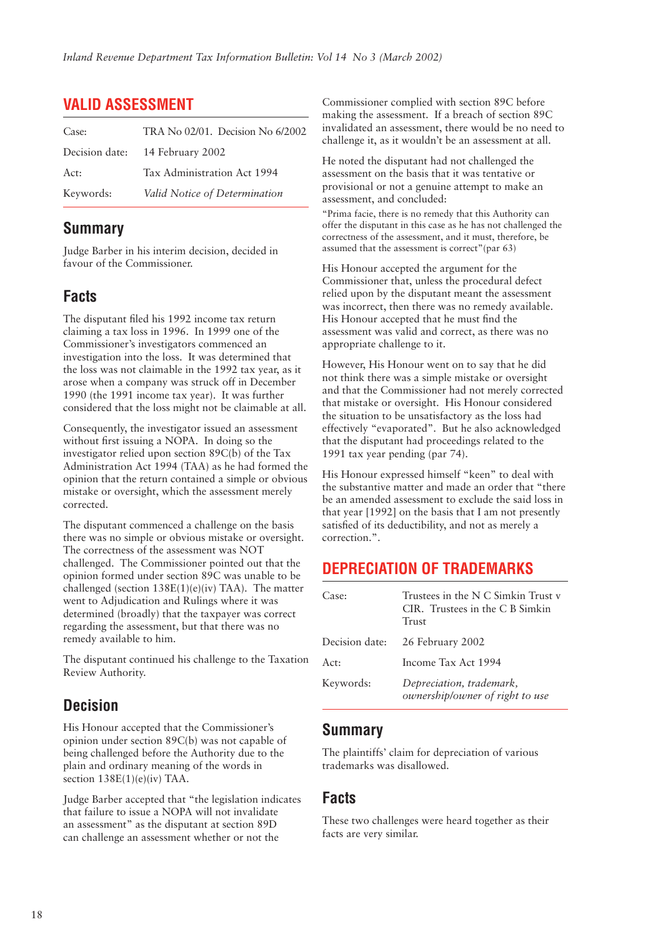#### **VALID ASSESSMENT**

| Case:          | TRA No 02/01. Decision No 6/2002 |
|----------------|----------------------------------|
| Decision date: | 14 February 2002                 |
| Act:           | Tax Administration Act 1994      |
| Keywords:      | Valid Notice of Determination    |

#### **Summary**

Judge Barber in his interim decision, decided in favour of the Commissioner.

### **Facts**

The disputant filed his 1992 income tax return claiming a tax loss in 1996. In 1999 one of the Commissioner's investigators commenced an investigation into the loss. It was determined that the loss was not claimable in the 1992 tax year, as it arose when a company was struck off in December 1990 (the 1991 income tax year). It was further considered that the loss might not be claimable at all.

Consequently, the investigator issued an assessment without first issuing a NOPA. In doing so the investigator relied upon section 89C(b) of the Tax Administration Act 1994 (TAA) as he had formed the opinion that the return contained a simple or obvious mistake or oversight, which the assessment merely corrected.

The disputant commenced a challenge on the basis there was no simple or obvious mistake or oversight. The correctness of the assessment was NOT challenged. The Commissioner pointed out that the opinion formed under section 89C was unable to be challenged (section  $138E(1)(e)(iv)$  TAA). The matter went to Adjudication and Rulings where it was determined (broadly) that the taxpayer was correct regarding the assessment, but that there was no remedy available to him.

The disputant continued his challenge to the Taxation Review Authority.

### **Decision**

His Honour accepted that the Commissioner's opinion under section 89C(b) was not capable of being challenged before the Authority due to the plain and ordinary meaning of the words in section  $138E(1)(e)(iv)$  TAA.

Judge Barber accepted that "the legislation indicates that failure to issue a NOPA will not invalidate an assessment" as the disputant at section 89D can challenge an assessment whether or not the

Commissioner complied with section 89C before making the assessment. If a breach of section 89C invalidated an assessment, there would be no need to challenge it, as it wouldn't be an assessment at all.

He noted the disputant had not challenged the assessment on the basis that it was tentative or provisional or not a genuine attempt to make an assessment, and concluded:

"Prima facie, there is no remedy that this Authority can offer the disputant in this case as he has not challenged the correctness of the assessment, and it must, therefore, be assumed that the assessment is correct"(par 63)

His Honour accepted the argument for the Commissioner that, unless the procedural defect relied upon by the disputant meant the assessment was incorrect, then there was no remedy available. His Honour accepted that he must find the assessment was valid and correct, as there was no appropriate challenge to it.

However, His Honour went on to say that he did not think there was a simple mistake or oversight and that the Commissioner had not merely corrected that mistake or oversight. His Honour considered the situation to be unsatisfactory as the loss had effectively "evaporated". But he also acknowledged that the disputant had proceedings related to the 1991 tax year pending (par 74).

His Honour expressed himself "keen" to deal with the substantive matter and made an order that "there be an amended assessment to exclude the said loss in that year [1992] on the basis that I am not presently satisfied of its deductibility, and not as merely a correction.".

#### **DEPRECIATION OF TRADEMARKS**

| Case:     | Trustees in the N C Simkin Trust v<br>$CIR$ . Trustees in the $C$ B Simkin<br>Trust |
|-----------|-------------------------------------------------------------------------------------|
|           | Decision date: 26 February 2002                                                     |
| Act:      | Income Tax Act 1994                                                                 |
| Keywords: | Depreciation, trademark,<br>ownership/owner of right to use                         |

#### **Summary**

The plaintiffs' claim for depreciation of various trademarks was disallowed.

#### **Facts**

These two challenges were heard together as their facts are very similar.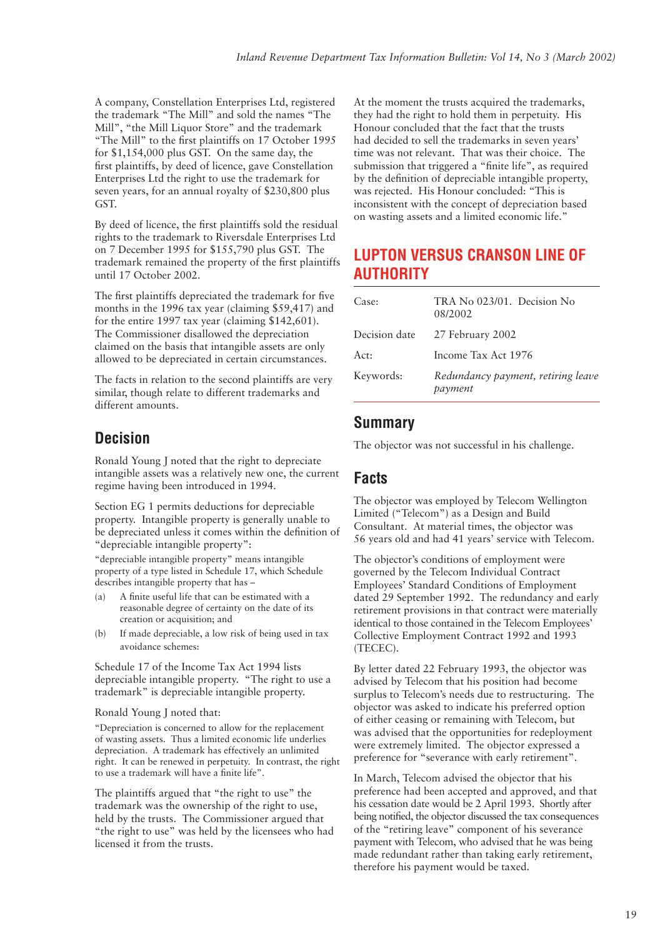A company, Constellation Enterprises Ltd, registered the trademark "The Mill" and sold the names "The Mill", "the Mill Liquor Store" and the trademark "The Mill" to the first plaintiffs on 17 October 1995 for \$1,154,000 plus GST. On the same day, the first plaintiffs, by deed of licence, gave Constellation Enterprises Ltd the right to use the trademark for seven years, for an annual royalty of \$230,800 plus GST.

By deed of licence, the first plaintiffs sold the residual rights to the trademark to Riversdale Enterprises Ltd on 7 December 1995 for \$155,790 plus GST. The trademark remained the property of the first plaintiffs until 17 October 2002.

The first plaintiffs depreciated the trademark for five months in the 1996 tax year (claiming \$59,417) and for the entire 1997 tax year (claiming \$142,601). The Commissioner disallowed the depreciation claimed on the basis that intangible assets are only allowed to be depreciated in certain circumstances.

The facts in relation to the second plaintiffs are very similar, though relate to different trademarks and different amounts.

### **Decision**

Ronald Young J noted that the right to depreciate intangible assets was a relatively new one, the current regime having been introduced in 1994.

Section EG 1 permits deductions for depreciable property. Intangible property is generally unable to be depreciated unless it comes within the definition of "depreciable intangible property":

"depreciable intangible property" means intangible property of a type listed in Schedule 17, which Schedule describes intangible property that has –

- (a) A finite useful life that can be estimated with a reasonable degree of certainty on the date of its creation or acquisition; and
- (b) If made depreciable, a low risk of being used in tax avoidance schemes:

Schedule 17 of the Income Tax Act 1994 lists depreciable intangible property. "The right to use a trademark" is depreciable intangible property.

#### Ronald Young J noted that:

"Depreciation is concerned to allow for the replacement of wasting assets. Thus a limited economic life underlies depreciation. A trademark has effectively an unlimited right. It can be renewed in perpetuity. In contrast, the right to use a trademark will have a finite life".

The plaintiffs argued that "the right to use" the trademark was the ownership of the right to use, held by the trusts. The Commissioner argued that "the right to use" was held by the licensees who had licensed it from the trusts.

At the moment the trusts acquired the trademarks, they had the right to hold them in perpetuity. His Honour concluded that the fact that the trusts had decided to sell the trademarks in seven years' time was not relevant. That was their choice. The submission that triggered a "finite life", as required by the definition of depreciable intangible property, was rejected. His Honour concluded: "This is inconsistent with the concept of depreciation based on wasting assets and a limited economic life."

#### **LUPTON VERSUS CRANSON LINE OF AUTHORITY**

| Case:         | TRA No 023/01. Decision No<br>08/2002         |
|---------------|-----------------------------------------------|
| Decision date | 27 February 2002                              |
| Act:          | Income Tax Act 1976                           |
| Keywords:     | Redundancy payment, retiring leave<br>payment |

### **Summary**

The objector was not successful in his challenge.

### **Facts**

The objector was employed by Telecom Wellington Limited ("Telecom") as a Design and Build Consultant. At material times, the objector was 56 years old and had 41 years' service with Telecom.

The objector's conditions of employment were governed by the Telecom Individual Contract Employees' Standard Conditions of Employment dated 29 September 1992. The redundancy and early retirement provisions in that contract were materially identical to those contained in the Telecom Employees' Collective Employment Contract 1992 and 1993 (TECEC).

By letter dated 22 February 1993, the objector was advised by Telecom that his position had become surplus to Telecom's needs due to restructuring. The objector was asked to indicate his preferred option of either ceasing or remaining with Telecom, but was advised that the opportunities for redeployment were extremely limited. The objector expressed a preference for "severance with early retirement".

In March, Telecom advised the objector that his preference had been accepted and approved, and that his cessation date would be 2 April 1993. Shortly after being notified, the objector discussed the tax consequences of the "retiring leave" component of his severance payment with Telecom, who advised that he was being made redundant rather than taking early retirement, therefore his payment would be taxed.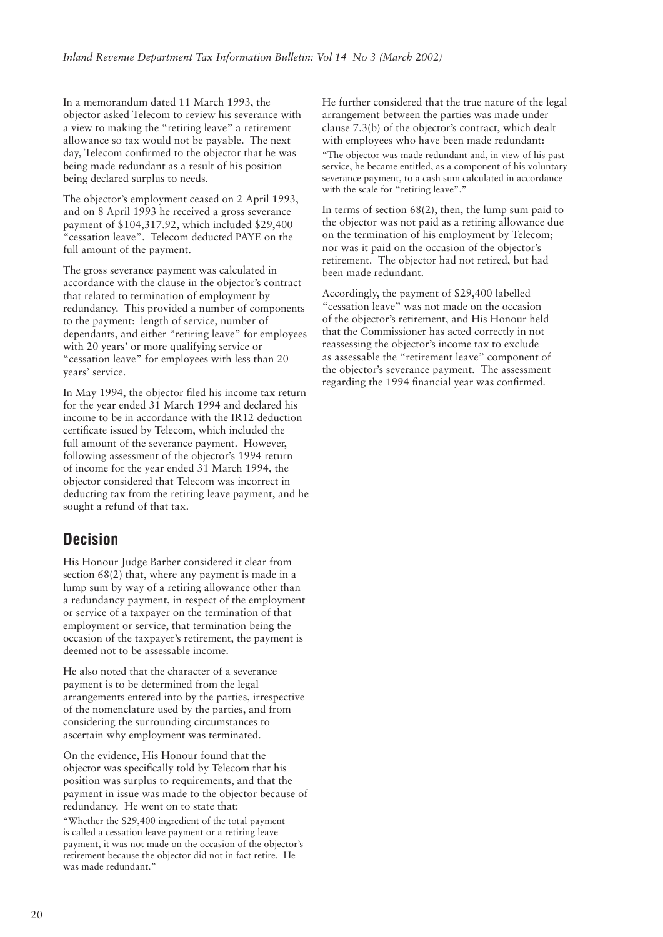In a memorandum dated 11 March 1993, the objector asked Telecom to review his severance with a view to making the "retiring leave" a retirement allowance so tax would not be payable. The next day, Telecom confirmed to the objector that he was being made redundant as a result of his position being declared surplus to needs.

The objector's employment ceased on 2 April 1993, and on 8 April 1993 he received a gross severance payment of \$104,317.92, which included \$29,400 "cessation leave". Telecom deducted PAYE on the full amount of the payment.

The gross severance payment was calculated in accordance with the clause in the objector's contract that related to termination of employment by redundancy. This provided a number of components to the payment: length of service, number of dependants, and either "retiring leave" for employees with 20 years' or more qualifying service or "cessation leave" for employees with less than 20 years' service.

In May 1994, the objector filed his income tax return for the year ended 31 March 1994 and declared his income to be in accordance with the IR12 deduction certificate issued by Telecom, which included the full amount of the severance payment. However, following assessment of the objector's 1994 return of income for the year ended 31 March 1994, the objector considered that Telecom was incorrect in deducting tax from the retiring leave payment, and he sought a refund of that tax.

### **Decision**

His Honour Judge Barber considered it clear from section 68(2) that, where any payment is made in a lump sum by way of a retiring allowance other than a redundancy payment, in respect of the employment or service of a taxpayer on the termination of that employment or service, that termination being the occasion of the taxpayer's retirement, the payment is deemed not to be assessable income.

He also noted that the character of a severance payment is to be determined from the legal arrangements entered into by the parties, irrespective of the nomenclature used by the parties, and from considering the surrounding circumstances to ascertain why employment was terminated.

On the evidence, His Honour found that the objector was specifically told by Telecom that his position was surplus to requirements, and that the payment in issue was made to the objector because of redundancy. He went on to state that:

"Whether the \$29,400 ingredient of the total payment is called a cessation leave payment or a retiring leave payment, it was not made on the occasion of the objector's retirement because the objector did not in fact retire. He was made redundant."

He further considered that the true nature of the legal arrangement between the parties was made under clause 7.3(b) of the objector's contract, which dealt with employees who have been made redundant: "The objector was made redundant and, in view of his past service, he became entitled, as a component of his voluntary severance payment, to a cash sum calculated in accordance with the scale for "retiring leave"."

In terms of section 68(2), then, the lump sum paid to the objector was not paid as a retiring allowance due on the termination of his employment by Telecom; nor was it paid on the occasion of the objector's retirement. The objector had not retired, but had been made redundant.

Accordingly, the payment of \$29,400 labelled "cessation leave" was not made on the occasion of the objector's retirement, and His Honour held that the Commissioner has acted correctly in not reassessing the objector's income tax to exclude as assessable the "retirement leave" component of the objector's severance payment. The assessment regarding the 1994 financial year was confirmed.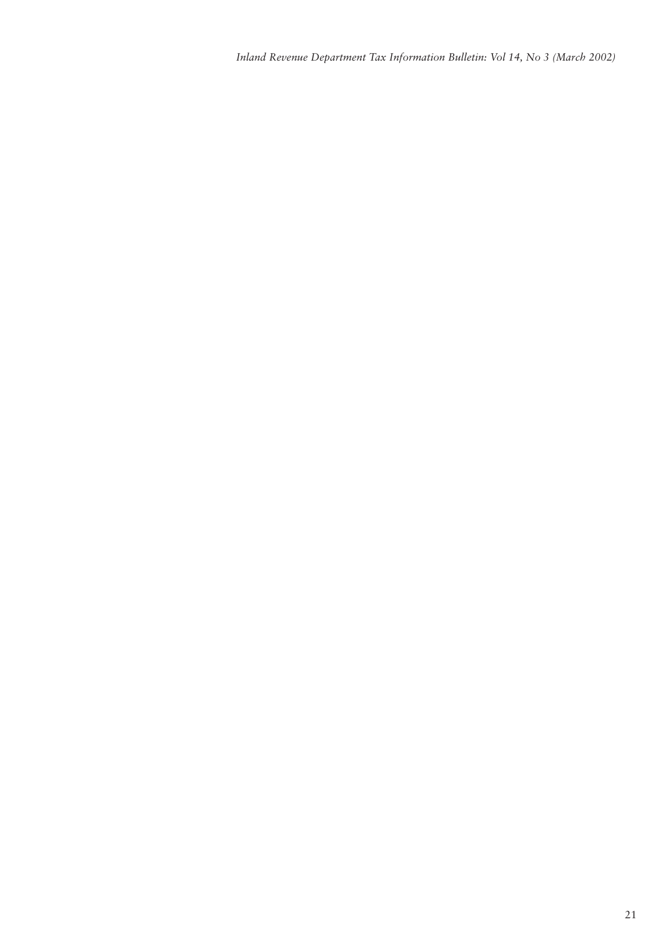*Inland Revenue Department Tax Information Bulletin: Vol 14 No 3 (March 2002) Inland Revenue Department Tax Information Bulletin: Vol 14, No 3 (March 2002)*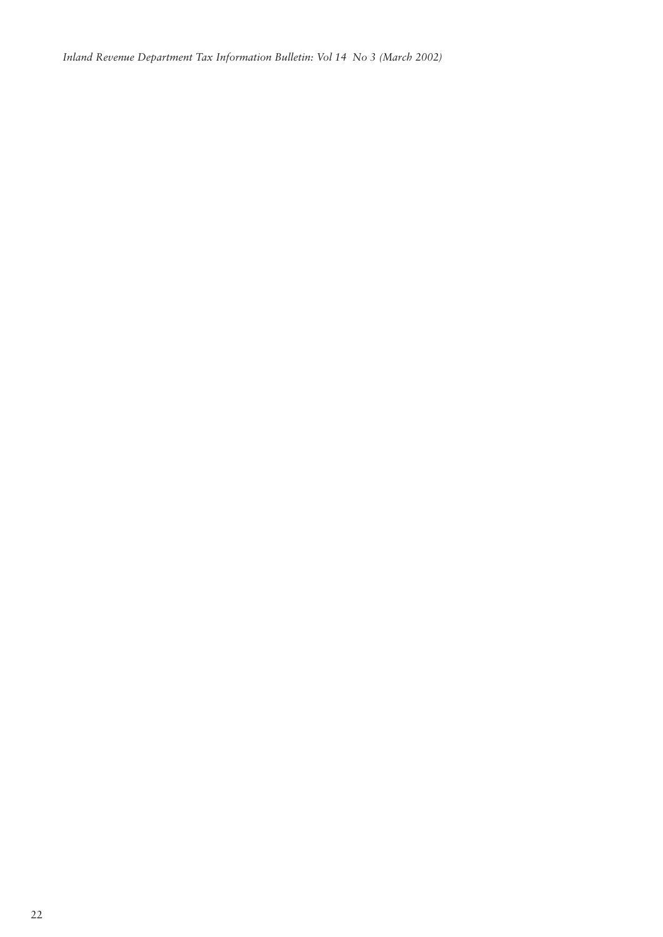*Inland Revenue Department Tax Information Bulletin: Vol 14 No 3 (March 2002) Inland Revenue Department Tax Information Bulletin: Vol 14, No 3 (March 2002)*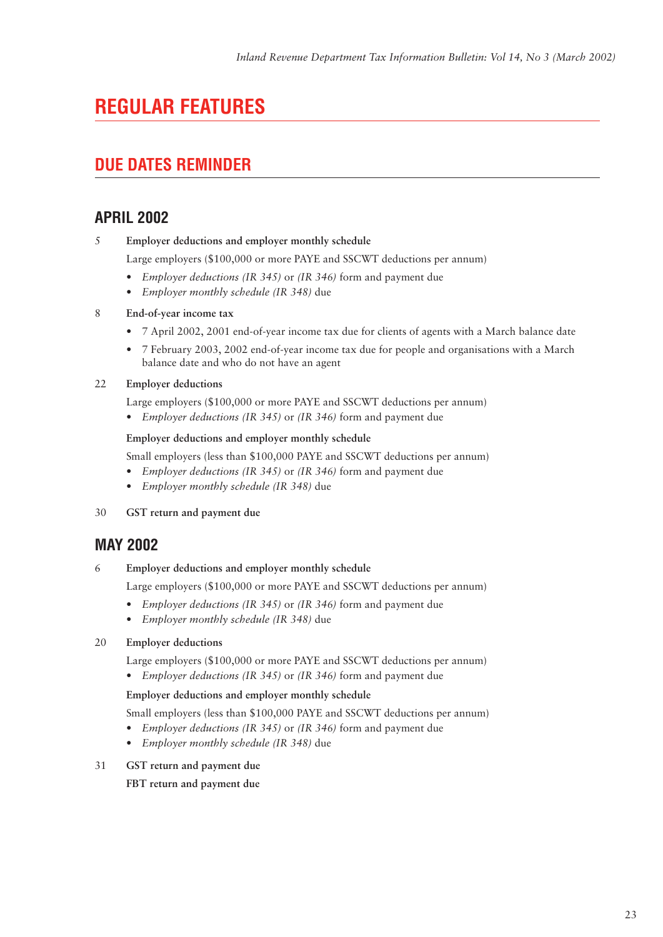## **REGULAR FEATURES**

## **DUE DATES REMINDER**

#### **APRIL 2002**

5 **Employer deductions and employer monthly schedule**

Large employers (\$100,000 or more PAYE and SSCWT deductions per annum)

- *Employer deductions (IR 345)* or *(IR 346)* form and payment due
- *Employer monthly schedule (IR 348)* due

#### 8 **End-of-year income tax**

- 7 April 2002, 2001 end-of-year income tax due for clients of agents with a March balance date
- 7 February 2003, 2002 end-of-year income tax due for people and organisations with a March balance date and who do not have an agent

#### 22 **Employer deductions**

Large employers (\$100,000 or more PAYE and SSCWT deductions per annum)

• *Employer deductions (IR 345)* or *(IR 346)* form and payment due

#### **Employer deductions and employer monthly schedule**

Small employers (less than \$100,000 PAYE and SSCWT deductions per annum)

- *Employer deductions (IR 345)* or *(IR 346)* form and payment due
- *Employer monthly schedule (IR 348)* due
- 30 **GST return and payment due**

#### **MAY 2002**

6 **Employer deductions and employer monthly schedule**

Large employers (\$100,000 or more PAYE and SSCWT deductions per annum)

- *Employer deductions (IR 345)* or *(IR 346)* form and payment due
- *Employer monthly schedule (IR 348)* due

#### 20 **Employer deductions**

Large employers (\$100,000 or more PAYE and SSCWT deductions per annum)

• *Employer deductions (IR 345)* or *(IR 346)* form and payment due

#### **Employer deductions and employer monthly schedule**

Small employers (less than \$100,000 PAYE and SSCWT deductions per annum)

- *Employer deductions (IR 345)* or *(IR 346)* form and payment due
- *Employer monthly schedule (IR 348)* due
- 31 **GST return and payment due**

**FBT return and payment due**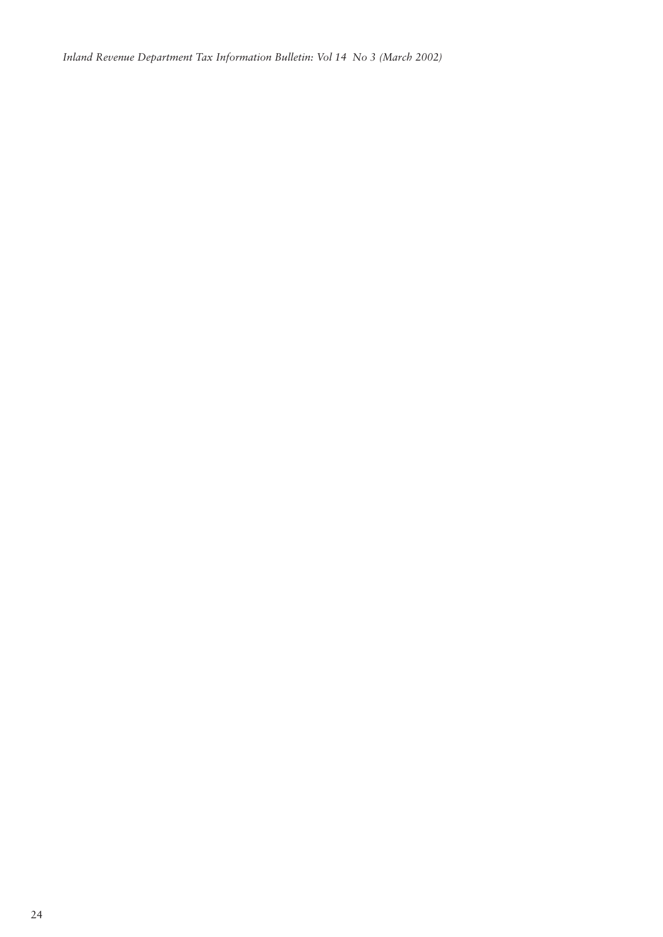*Inland Revenue Department Tax Information Bulletin: Vol 14 No 3 (March 2002) Inland Revenue Department Tax Information Bulletin: Vol 14, No 3 (March 2002)*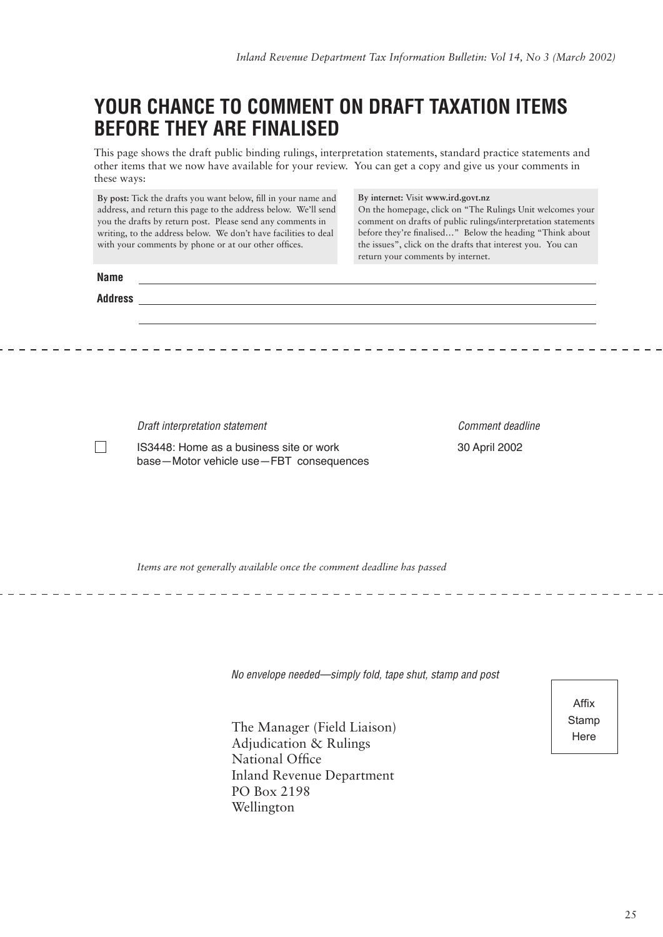## **YOUR CHANCE TO COMMENT ON DRAFT TAXATION ITEMS BEFORE THEY ARE FINALISED**

This page shows the draft public binding rulings, interpretation statements, standard practice statements and other items that we now have available for your review. You can get a copy and give us your comments in these ways:

**By post:** Tick the drafts you want below, fill in your name and address, and return this page to the address below. We'll send you the drafts by return post. Please send any comments in writing, to the address below. We don't have facilities to deal with your comments by phone or at our other offices.

#### **By internet:** Visit **www.ird.govt.nz**

On the homepage, click on "The Rulings Unit welcomes your comment on drafts of public rulings/interpretation statements before they're finalised…" Below the heading "Think about the issues", click on the drafts that interest you. You can return your comments by internet.

| Name           |  |  |  |
|----------------|--|--|--|
| <b>Address</b> |  |  |  |
|                |  |  |  |
|                |  |  |  |

Draft interpretation statement comment deadline

 $\Box$ 

IS3448: Home as a business site or work 30 April 2002 base—Motor vehicle use—FBT consequences

*Items are not generally available once the comment deadline has passed*

No envelope needed—simply fold, tape shut, stamp and post

The Manager (Field Liaison) Adjudication & Rulings National Office Inland Revenue Department PO Box 2198 Wellington

Affix Stamp **Here**